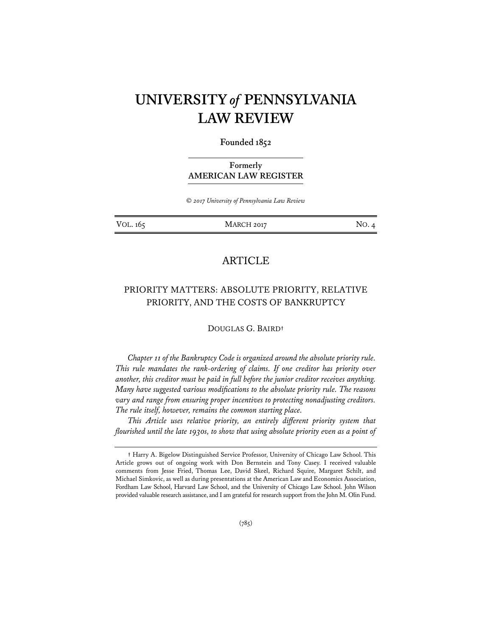# **UNIVERSITY** *of* **PENNSYLVANIA LAW REVIEW**

## **Founded 1852**

# **Formerly AMERICAN LAW REGISTER**

*© 2017 University of Pennsylvania Law Review* 

VOL. 165 MARCH 2017 NO. 4

# ARTICLE

# PRIORITY MATTERS: ABSOLUTE PRIORITY, RELATIVE PRIORITY, AND THE COSTS OF BANKRUPTCY

#### DOUGLAS G. BAIRD**†**

*Chapter 11 of the Bankruptcy Code is organized around the absolute priority rule. This rule mandates the rank-ordering of claims. If one creditor has priority over another, this creditor must be paid in full before the junior creditor receives anything. Many have suggested various modifications to the absolute priority rule. The reasons vary and range from ensuring proper incentives to protecting nonadjusting creditors. The rule itself, however, remains the common starting place.* 

*This Article uses relative priority, an entirely different priority system that flourished until the late 1930s, to show that using absolute priority even as a point of* 

**<sup>†</sup>** Harry A. Bigelow Distinguished Service Professor, University of Chicago Law School. This Article grows out of ongoing work with Don Bernstein and Tony Casey. I received valuable comments from Jesse Fried, Thomas Lee, David Skeel, Richard Squire, Margaret Schilt, and Michael Simkovic, as well as during presentations at the American Law and Economics Association, Fordham Law School, Harvard Law School, and the University of Chicago Law School. John Wilson provided valuable research assistance, and I am grateful for research support from the John M. Olin Fund.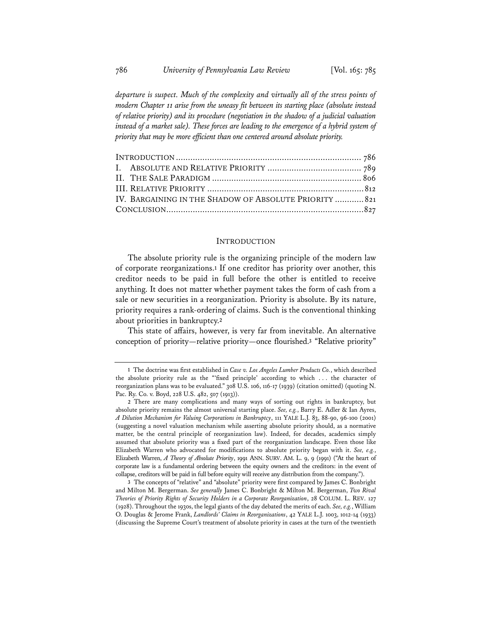*departure is suspect. Much of the complexity and virtually all of the stress points of modern Chapter 11 arise from the uneasy fit between its starting place (absolute instead of relative priority) and its procedure (negotiation in the shadow of a judicial valuation*  instead of a market sale). These forces are leading to the emergence of a hybrid system of *priority that may be more efficient than one centered around absolute priority.* 

| IV. BARGAINING IN THE SHADOW OF ABSOLUTE PRIORITY  821 |  |
|--------------------------------------------------------|--|
|                                                        |  |

#### **INTRODUCTION**

The absolute priority rule is the organizing principle of the modern law of corporate reorganizations.**<sup>1</sup>** If one creditor has priority over another, this creditor needs to be paid in full before the other is entitled to receive anything. It does not matter whether payment takes the form of cash from a sale or new securities in a reorganization. Priority is absolute. By its nature, priority requires a rank-ordering of claims. Such is the conventional thinking about priorities in bankruptcy.**<sup>2</sup>**

This state of affairs, however, is very far from inevitable. An alternative conception of priority—relative priority—once flourished.**<sup>3</sup>** "Relative priority"

**3** The concepts of "relative" and "absolute" priority were first compared by James C. Bonbright and Milton M. Bergerman. *See generally* James C. Bonbright & Milton M. Bergerman, *Two Rival Theories of Priority Rights of Security Holders in a Corporate Reorganization*, 28 COLUM. L. REV. 127 (1928). Throughout the 1930s, the legal giants of the day debated the merits of each. *See, e.g.*, William O. Douglas & Jerome Frank, *Landlords' Claims in Reorganizations*, 42 YALE L.J. 1003, 1012-14 (1933) (discussing the Supreme Court's treatment of absolute priority in cases at the turn of the twentieth

**<sup>1</sup>** The doctrine was first established in *Case v. Los Angeles Lumber Products Co.*, which described the absolute priority rule as the "'fixed principle' according to which . . . the character of reorganization plans was to be evaluated." 308 U.S. 106, 116-17 (1939) (citation omitted) (quoting N. Pac. Ry. Co. v. Boyd, 228 U.S. 482, 507 (1913)).

**<sup>2</sup>** There are many complications and many ways of sorting out rights in bankruptcy, but absolute priority remains the almost universal starting place. *See, e.g.*, Barry E. Adler & Ian Ayres, *A Dilution Mechanism for Valuing Corporations in Bankruptcy*, 111 YALE L.J. 83, 88-90, 96-100 (2001) (suggesting a novel valuation mechanism while asserting absolute priority should, as a normative matter, be the central principle of reorganization law). Indeed, for decades, academics simply assumed that absolute priority was a fixed part of the reorganization landscape. Even those like Elizabeth Warren who advocated for modifications to absolute priority began with it. *See, e.g.*, Elizabeth Warren, *A Theory of Absolute Priority*, 1991 ANN. SURV. AM. L. 9, 9 (1991) ("At the heart of corporate law is a fundamental ordering between the equity owners and the creditors: in the event of collapse, creditors will be paid in full before equity will receive any distribution from the company.").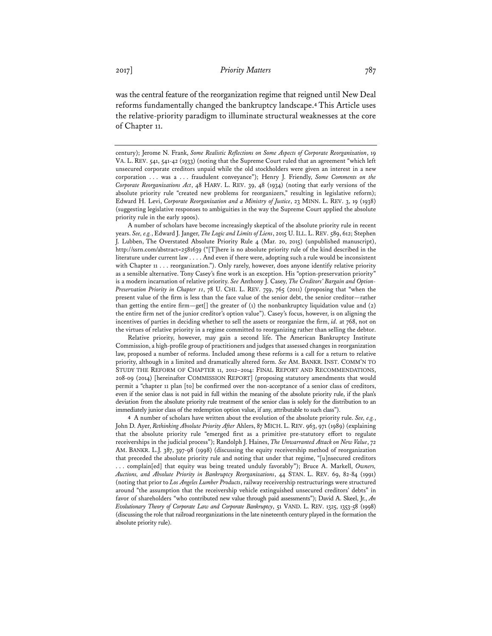was the central feature of the reorganization regime that reigned until New Deal reforms fundamentally changed the bankruptcy landscape.**<sup>4</sup>** This Article uses the relative-priority paradigm to illuminate structural weaknesses at the core of Chapter 11.

A number of scholars have become increasingly skeptical of the absolute priority rule in recent years. *See, e.g.*, Edward J. Janger, *The Logic and Limits of Liens*, 2015 U. ILL. L. REV. 589, 612; Stephen J. Lubben, The Overstated Absolute Priority Rule 4 (Mar. 20, 2015) (unpublished manuscript), http://ssrn.com/abstract=2581639 ("[T]here is no absolute priority rule of the kind described in the literature under current law . . . . And even if there were, adopting such a rule would be inconsistent with Chapter 11 . . . reorganization."). Only rarely, however, does anyone identify relative priority as a sensible alternative. Tony Casey's fine work is an exception. His "option-preservation priority" is a modern incarnation of relative priority. *See* Anthony J. Casey, *The Creditors' Bargain and Option-Preservation Priority in Chapter 11*, 78 U. CHI. L. REV. 759, 765 (2011) (proposing that "when the present value of the firm is less than the face value of the senior debt, the senior creditor—rather than getting the entire firm—get[] the greater of  $(i)$  the nonbankruptcy liquidation value and  $(i)$ the entire firm net of the junior creditor's option value"). Casey's focus, however, is on aligning the incentives of parties in deciding whether to sell the assets or reorganize the firm, *id.* at 768, not on the virtues of relative priority in a regime committed to reorganizing rather than selling the debtor.

Relative priority, however, may gain a second life. The American Bankruptcy Institute Commission, a high-profile group of practitioners and judges that assessed changes in reorganization law, proposed a number of reforms. Included among these reforms is a call for a return to relative priority, although in a limited and dramatically altered form. *See* AM. BANKR. INST. COMM'N TO STUDY THE REFORM OF CHAPTER 11, 2012–2014: FINAL REPORT AND RECOMMENDATIONS, 208-09 (2014) [hereinafter COMMISSION REPORT] (proposing statutory amendments that would permit a "chapter 11 plan [to] be confirmed over the non-acceptance of a senior class of creditors, even if the senior class is not paid in full within the meaning of the absolute priority rule, if the plan's deviation from the absolute priority rule treatment of the senior class is solely for the distribution to an immediately junior class of the redemption option value, if any, attributable to such class").

**4** A number of scholars have written about the evolution of the absolute priority rule. *See, e.g.*, John D. Ayer, *Rethinking Absolute Priority After* Ahlers, 87 MICH. L. REV. 963, 971 (1989) (explaining that the absolute priority rule "emerged first as a primitive pre-statutory effort to regulate receiverships in the judicial process"); Randolph J. Haines, *The Unwarranted Attack on New Value*, 72 AM. BANKR. L.J. 387, 397-98 (1998) (discussing the equity receivership method of reorganization that preceded the absolute priority rule and noting that under that regime, "[u]nsecured creditors . . . complain[ed] that equity was being treated unduly favorably"); Bruce A. Markell, *Owners, Auctions, and Absolute Priority in Bankruptcy Reorganizations*, 44 STAN. L. REV. 69, 82-84 (1991) (noting that prior to *Los Angeles Lumber Products*, railway receivership restructurings were structured around "the assumption that the receivership vehicle extinguished unsecured creditors' debts" in favor of shareholders "who contributed new value through paid assessments"); David A. Skeel, Jr., *An Evolutionary Theory of Corporate Law and Corporate Bankruptcy*, 51 VAND. L. REV. 1325, 1353-58 (1998) (discussing the role that railroad reorganizations in the late nineteenth century played in the formation the absolute priority rule).

century); Jerome N. Frank, *Some Realistic Reflections on Some Aspects of Corporate Reorganization*, 19 VA. L. REV. 541, 541-42 (1933) (noting that the Supreme Court ruled that an agreement "which left unsecured corporate creditors unpaid while the old stockholders were given an interest in a new corporation . . . was a . . . fraudulent conveyance"); Henry J. Friendly, *Some Comments on the Corporate Reorganizations Act*, 48 HARV. L. REV. 39, 48 (1934) (noting that early versions of the absolute priority rule "created new problems for reorganizers," resulting in legislative reform); Edward H. Levi, *Corporate Reorganization and a Ministry of Justice*, 23 MINN. L. REV. 3, 19 (1938) (suggesting legislative responses to ambiguities in the way the Supreme Court applied the absolute priority rule in the early 1900s).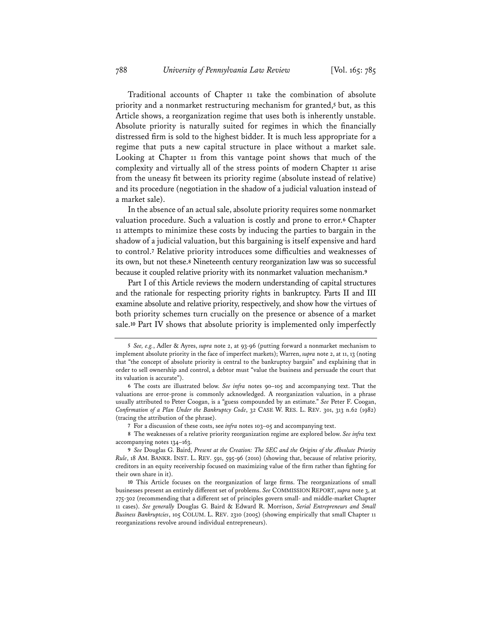Traditional accounts of Chapter 11 take the combination of absolute priority and a nonmarket restructuring mechanism for granted,**<sup>5</sup>** but, as this Article shows, a reorganization regime that uses both is inherently unstable. Absolute priority is naturally suited for regimes in which the financially distressed firm is sold to the highest bidder. It is much less appropriate for a regime that puts a new capital structure in place without a market sale. Looking at Chapter 11 from this vantage point shows that much of the complexity and virtually all of the stress points of modern Chapter 11 arise from the uneasy fit between its priority regime (absolute instead of relative) and its procedure (negotiation in the shadow of a judicial valuation instead of a market sale).

In the absence of an actual sale, absolute priority requires some nonmarket valuation procedure. Such a valuation is costly and prone to error.**<sup>6</sup>** Chapter 11 attempts to minimize these costs by inducing the parties to bargain in the shadow of a judicial valuation, but this bargaining is itself expensive and hard to control.**<sup>7</sup>** Relative priority introduces some difficulties and weaknesses of its own, but not these.**<sup>8</sup>** Nineteenth century reorganization law was so successful because it coupled relative priority with its nonmarket valuation mechanism.**<sup>9</sup>**

Part I of this Article reviews the modern understanding of capital structures and the rationale for respecting priority rights in bankruptcy. Parts II and III examine absolute and relative priority, respectively, and show how the virtues of both priority schemes turn crucially on the presence or absence of a market sale.**<sup>10</sup>** Part IV shows that absolute priority is implemented only imperfectly

**<sup>5</sup>** *See, e.g.*, Adler & Ayres, *supra* note 2, at 93-96 (putting forward a nonmarket mechanism to implement absolute priority in the face of imperfect markets); Warren, *supra* note 2, at 11, 13 (noting that "the concept of absolute priority is central to the bankruptcy bargain" and explaining that in order to sell ownership and control, a debtor must "value the business and persuade the court that its valuation is accurate").

**<sup>6</sup>** The costs are illustrated below. *See infra* notes 90–105 and accompanying text. That the valuations are error-prone is commonly acknowledged. A reorganization valuation, in a phrase usually attributed to Peter Coogan, is a "guess compounded by an estimate." *See* Peter F. Coogan, *Confirmation of a Plan Under the Bankruptcy Code*, 32 CASE W. RES. L. REV. 301, 313 n.62 (1982) (tracing the attribution of the phrase).

**<sup>7</sup>** For a discussion of these costs, see *infra* notes 103–05 and accompanying text.

**<sup>8</sup>** The weaknesses of a relative priority reorganization regime are explored below. *See infra* text accompanying notes 134–163.

**<sup>9</sup>** *See* Douglas G. Baird, *Present at the Creation: The SEC and the Origins of the Absolute Priority Rule*, 18 AM. BANKR. INST. L. REV. 591, 595-96 (2010) (showing that, because of relative priority, creditors in an equity receivership focused on maximizing value of the firm rather than fighting for their own share in it).

**<sup>10</sup>** This Article focuses on the reorganization of large firms. The reorganizations of small businesses present an entirely different set of problems. *See* COMMISSION REPORT, *supra* note 3, at 275-302 (recommending that a different set of principles govern small- and middle-market Chapter 11 cases). *See generally* Douglas G. Baird & Edward R. Morrison, *Serial Entrepreneurs and Small Business Bankruptcies*, 105 COLUM. L. REV. 2310 (2005) (showing empirically that small Chapter 11 reorganizations revolve around individual entrepreneurs).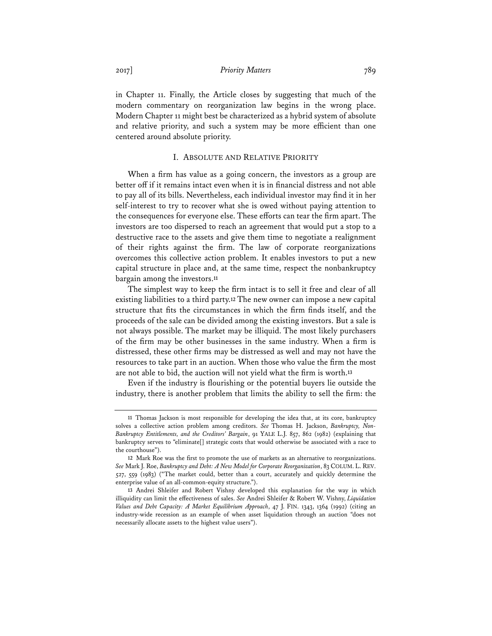in Chapter 11. Finally, the Article closes by suggesting that much of the modern commentary on reorganization law begins in the wrong place. Modern Chapter 11 might best be characterized as a hybrid system of absolute and relative priority, and such a system may be more efficient than one centered around absolute priority.

## I. ABSOLUTE AND RELATIVE PRIORITY

When a firm has value as a going concern, the investors as a group are better off if it remains intact even when it is in financial distress and not able to pay all of its bills. Nevertheless, each individual investor may find it in her self-interest to try to recover what she is owed without paying attention to the consequences for everyone else. These efforts can tear the firm apart. The investors are too dispersed to reach an agreement that would put a stop to a destructive race to the assets and give them time to negotiate a realignment of their rights against the firm. The law of corporate reorganizations overcomes this collective action problem. It enables investors to put a new capital structure in place and, at the same time, respect the nonbankruptcy bargain among the investors.**<sup>11</sup>**

The simplest way to keep the firm intact is to sell it free and clear of all existing liabilities to a third party.**<sup>12</sup>** The new owner can impose a new capital structure that fits the circumstances in which the firm finds itself, and the proceeds of the sale can be divided among the existing investors. But a sale is not always possible. The market may be illiquid. The most likely purchasers of the firm may be other businesses in the same industry. When a firm is distressed, these other firms may be distressed as well and may not have the resources to take part in an auction. When those who value the firm the most are not able to bid, the auction will not yield what the firm is worth.**<sup>13</sup>**

Even if the industry is flourishing or the potential buyers lie outside the industry, there is another problem that limits the ability to sell the firm: the

**<sup>11</sup>** Thomas Jackson is most responsible for developing the idea that, at its core, bankruptcy solves a collective action problem among creditors. *See* Thomas H. Jackson, *Bankruptcy, Non-Bankruptcy Entitlements, and the Creditors' Bargain*, 91 YALE L.J. 857, 862 (1982) (explaining that bankruptcy serves to "eliminate[] strategic costs that would otherwise be associated with a race to the courthouse").

**<sup>12</sup>** Mark Roe was the first to promote the use of markets as an alternative to reorganizations. *See* Mark J. Roe, *Bankruptcy and Debt: A New Model for Corporate Reorganization*, 83 COLUM. L. REV. 527, 559 (1983) ("The market could, better than a court, accurately and quickly determine the enterprise value of an all-common-equity structure.").

**<sup>13</sup>** Andrei Shleifer and Robert Vishny developed this explanation for the way in which illiquidity can limit the effectiveness of sales. *See* Andrei Shleifer & Robert W. Vishny, *Liquidation Values and Debt Capacity: A Market Equilibrium Approach*, 47 J. FIN. 1343, 1364 (1992) (citing an industry-wide recession as an example of when asset liquidation through an auction "does not necessarily allocate assets to the highest value users").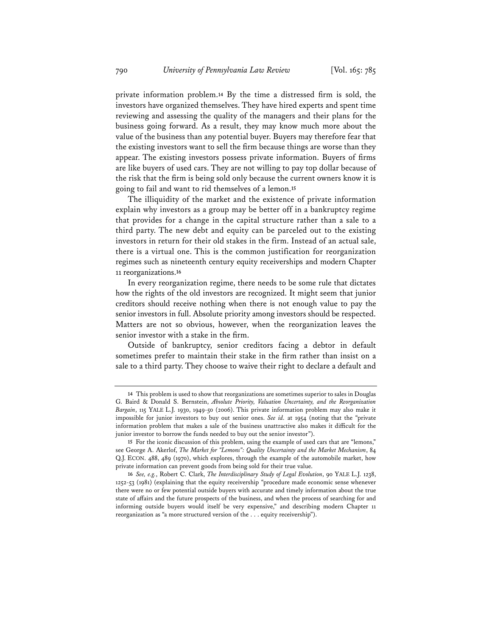private information problem.**<sup>14</sup>** By the time a distressed firm is sold, the investors have organized themselves. They have hired experts and spent time reviewing and assessing the quality of the managers and their plans for the business going forward. As a result, they may know much more about the value of the business than any potential buyer. Buyers may therefore fear that the existing investors want to sell the firm because things are worse than they appear. The existing investors possess private information. Buyers of firms are like buyers of used cars. They are not willing to pay top dollar because of the risk that the firm is being sold only because the current owners know it is going to fail and want to rid themselves of a lemon.**<sup>15</sup>**

The illiquidity of the market and the existence of private information explain why investors as a group may be better off in a bankruptcy regime that provides for a change in the capital structure rather than a sale to a third party. The new debt and equity can be parceled out to the existing investors in return for their old stakes in the firm. Instead of an actual sale, there is a virtual one. This is the common justification for reorganization regimes such as nineteenth century equity receiverships and modern Chapter 11 reorganizations.**<sup>16</sup>**

In every reorganization regime, there needs to be some rule that dictates how the rights of the old investors are recognized. It might seem that junior creditors should receive nothing when there is not enough value to pay the senior investors in full. Absolute priority among investors should be respected. Matters are not so obvious, however, when the reorganization leaves the senior investor with a stake in the firm.

Outside of bankruptcy, senior creditors facing a debtor in default sometimes prefer to maintain their stake in the firm rather than insist on a sale to a third party. They choose to waive their right to declare a default and

**<sup>14</sup>** This problem is used to show that reorganizations are sometimes superior to sales in Douglas G. Baird & Donald S. Bernstein, *Absolute Priority, Valuation Uncertainty, and the Reorganization Bargain*, 115 YALE L.J. 1930, 1949-50 (2006). This private information problem may also make it impossible for junior investors to buy out senior ones. *See id.* at 1954 (noting that the "private information problem that makes a sale of the business unattractive also makes it difficult for the junior investor to borrow the funds needed to buy out the senior investor").

**<sup>15</sup>** For the iconic discussion of this problem, using the example of used cars that are "lemons," see George A. Akerlof, *The Market for "Lemons": Quality Uncertainty and the Market Mechanism*, 84 Q.J. ECON. 488, 489 (1970), which explores, through the example of the automobile market, how private information can prevent goods from being sold for their true value.

**<sup>16</sup>** *See, e.g.*, Robert C. Clark, *The Interdisciplinary Study of Legal Evolution*, 90 YALE L.J. 1238, 1252-53 (1981) (explaining that the equity receivership "procedure made economic sense whenever there were no or few potential outside buyers with accurate and timely information about the true state of affairs and the future prospects of the business, and when the process of searching for and informing outside buyers would itself be very expensive," and describing modern Chapter 11 reorganization as "a more structured version of the . . . equity receivership").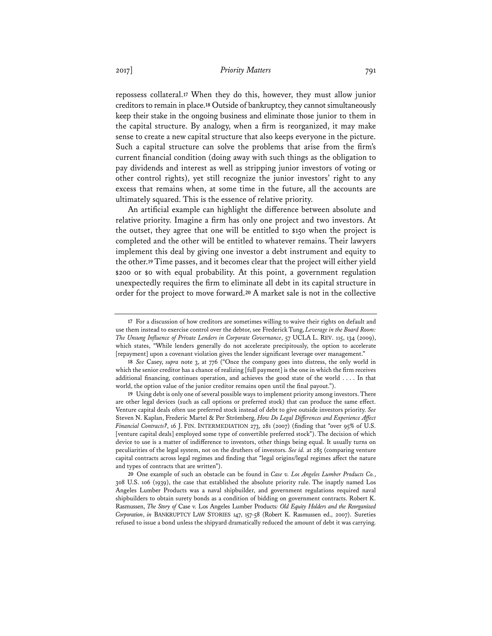repossess collateral.**<sup>17</sup>** When they do this, however, they must allow junior creditors to remain in place.**<sup>18</sup>** Outside of bankruptcy, they cannot simultaneously keep their stake in the ongoing business and eliminate those junior to them in the capital structure. By analogy, when a firm is reorganized, it may make sense to create a new capital structure that also keeps everyone in the picture. Such a capital structure can solve the problems that arise from the firm's current financial condition (doing away with such things as the obligation to pay dividends and interest as well as stripping junior investors of voting or other control rights), yet still recognize the junior investors' right to any excess that remains when, at some time in the future, all the accounts are ultimately squared. This is the essence of relative priority.

An artificial example can highlight the difference between absolute and relative priority. Imagine a firm has only one project and two investors. At the outset, they agree that one will be entitled to \$150 when the project is completed and the other will be entitled to whatever remains. Their lawyers implement this deal by giving one investor a debt instrument and equity to the other.**<sup>19</sup>** Time passes, and it becomes clear that the project will either yield \$200 or \$0 with equal probability. At this point, a government regulation unexpectedly requires the firm to eliminate all debt in its capital structure in order for the project to move forward.**<sup>20</sup>** A market sale is not in the collective

**<sup>17</sup>** For a discussion of how creditors are sometimes willing to waive their rights on default and use them instead to exercise control over the debtor, see Frederick Tung, *Leverage in the Board Room: The Unsung Influence of Private Lenders in Corporate Governance*, 57 UCLA L. REV. 115, 134 (2009), which states, "While lenders generally do not accelerate precipitously, the option to accelerate [repayment] upon a covenant violation gives the lender significant leverage over management."

**<sup>18</sup>** *See* Casey, *supra* note 3, at 776 ("Once the company goes into distress, the only world in which the senior creditor has a chance of realizing [full payment] is the one in which the firm receives additional financing, continues operation, and achieves the good state of the world . . . . In that world, the option value of the junior creditor remains open until the final payout.").

**<sup>19</sup>** Using debt is only one of several possible ways to implement priority among investors. There are other legal devices (such as call options or preferred stock) that can produce the same effect. Venture capital deals often use preferred stock instead of debt to give outside investors priority. *See* Steven N. Kaplan, Frederic Martel & Per Strömberg, *How Do Legal Differences and Experience Affect Financial Contracts?*, 16 J. FIN. INTERMEDIATION 273, 281 (2007) (finding that "over 95% of U.S. [venture capital deals] employed some type of convertible preferred stock"). The decision of which device to use is a matter of indifference to investors, other things being equal. It usually turns on peculiarities of the legal system, not on the druthers of investors. *See id.* at 285 (comparing venture capital contracts across legal regimes and finding that "legal origins/legal regimes affect the nature and types of contracts that are written").

**<sup>20</sup>** One example of such an obstacle can be found in *Case v. Los Angeles Lumber Products Co.*, 308 U.S. 106 (1939), the case that established the absolute priority rule. The inaptly named Los Angeles Lumber Products was a naval shipbuilder, and government regulations required naval shipbuilders to obtain surety bonds as a condition of bidding on government contracts. Robert K. Rasmussen, *The Story of* Case v. Los Angeles Lumber Products*: Old Equity Holders and the Reorganized Corporation*, *in* BANKRUPTCY LAW STORIES 147, 157-58 (Robert K. Rasmussen ed., 2007). Sureties refused to issue a bond unless the shipyard dramatically reduced the amount of debt it was carrying.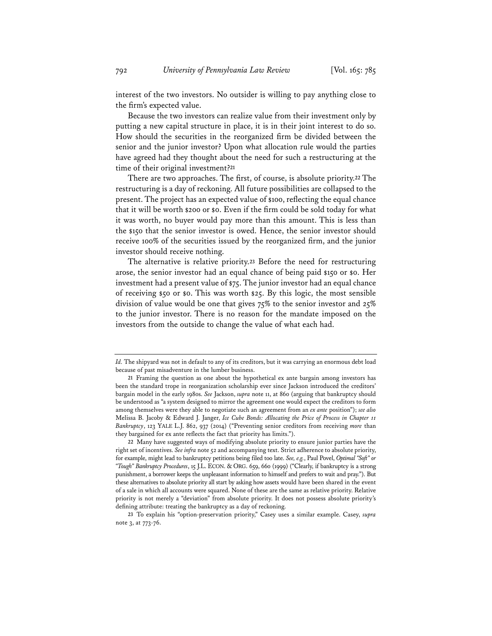interest of the two investors. No outsider is willing to pay anything close to the firm's expected value.

Because the two investors can realize value from their investment only by putting a new capital structure in place, it is in their joint interest to do so. How should the securities in the reorganized firm be divided between the senior and the junior investor? Upon what allocation rule would the parties have agreed had they thought about the need for such a restructuring at the time of their original investment?**<sup>21</sup>**

There are two approaches. The first, of course, is absolute priority.**<sup>22</sup>** The restructuring is a day of reckoning. All future possibilities are collapsed to the present. The project has an expected value of \$100, reflecting the equal chance that it will be worth \$200 or \$0. Even if the firm could be sold today for what it was worth, no buyer would pay more than this amount. This is less than the \$150 that the senior investor is owed. Hence, the senior investor should receive 100% of the securities issued by the reorganized firm, and the junior investor should receive nothing.

The alternative is relative priority.**<sup>23</sup>** Before the need for restructuring arose, the senior investor had an equal chance of being paid \$150 or \$0. Her investment had a present value of \$75. The junior investor had an equal chance of receiving \$50 or \$0. This was worth \$25. By this logic, the most sensible division of value would be one that gives 75% to the senior investor and 25% to the junior investor. There is no reason for the mandate imposed on the investors from the outside to change the value of what each had.

*Id.* The shipyard was not in default to any of its creditors, but it was carrying an enormous debt load because of past misadventure in the lumber business.

**<sup>21</sup>** Framing the question as one about the hypothetical ex ante bargain among investors has been the standard trope in reorganization scholarship ever since Jackson introduced the creditors' bargain model in the early 1980s. *See* Jackson, *supra* note 11, at 860 (arguing that bankruptcy should be understood as "a system designed to mirror the agreement one would expect the creditors to form among themselves were they able to negotiate such an agreement from an *ex ante* position"); *see also* Melissa B. Jacoby & Edward J. Janger, *Ice Cube Bonds: Allocating the Price of Process in Chapter 11 Bankruptcy*, 123 YALE L.J. 862, 937 (2014) ("Preventing senior creditors from receiving *more* than they bargained for ex ante reflects the fact that priority has limits.").

**<sup>22</sup>** Many have suggested ways of modifying absolute priority to ensure junior parties have the right set of incentives. *See infra* note 52 and accompanying text. Strict adherence to absolute priority, for example, might lead to bankruptcy petitions being filed too late. *See, e.g.*, Paul Povel, *Optimal "Soft" or "Tough" Bankruptcy Procedures*, 15 J.L. ECON. & ORG. 659, 660 (1999) ("Clearly, if bankruptcy is a strong punishment, a borrower keeps the unpleasant information to himself and prefers to wait and pray."). But these alternatives to absolute priority all start by asking how assets would have been shared in the event of a sale in which all accounts were squared. None of these are the same as relative priority. Relative priority is not merely a "deviation" from absolute priority. It does not possess absolute priority's defining attribute: treating the bankruptcy as a day of reckoning.

**<sup>23</sup>** To explain his "option-preservation priority," Casey uses a similar example. Casey, *supra* note 3, at 773-76.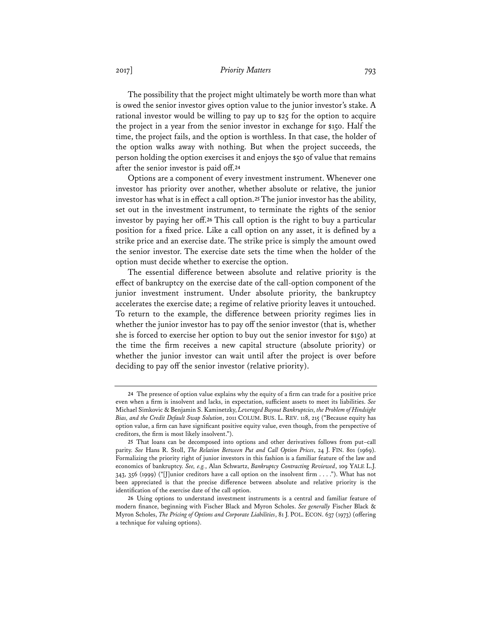## 2017] *Priority Matters* 793

The possibility that the project might ultimately be worth more than what is owed the senior investor gives option value to the junior investor's stake. A rational investor would be willing to pay up to \$25 for the option to acquire the project in a year from the senior investor in exchange for \$150. Half the time, the project fails, and the option is worthless. In that case, the holder of the option walks away with nothing. But when the project succeeds, the person holding the option exercises it and enjoys the \$50 of value that remains after the senior investor is paid off.**<sup>24</sup>**

Options are a component of every investment instrument. Whenever one investor has priority over another, whether absolute or relative, the junior investor has what is in effect a call option.**<sup>25</sup>** The junior investor has the ability, set out in the investment instrument, to terminate the rights of the senior investor by paying her off.**<sup>26</sup>** This call option is the right to buy a particular position for a fixed price. Like a call option on any asset, it is defined by a strike price and an exercise date. The strike price is simply the amount owed the senior investor. The exercise date sets the time when the holder of the option must decide whether to exercise the option.

The essential difference between absolute and relative priority is the effect of bankruptcy on the exercise date of the call-option component of the junior investment instrument. Under absolute priority, the bankruptcy accelerates the exercise date; a regime of relative priority leaves it untouched. To return to the example, the difference between priority regimes lies in whether the junior investor has to pay off the senior investor (that is, whether she is forced to exercise her option to buy out the senior investor for \$150) at the time the firm receives a new capital structure (absolute priority) or whether the junior investor can wait until after the project is over before deciding to pay off the senior investor (relative priority).

**<sup>24</sup>** The presence of option value explains why the equity of a firm can trade for a positive price even when a firm is insolvent and lacks, in expectation, sufficient assets to meet its liabilities. *See* Michael Simkovic & Benjamin S. Kaminetzky, *Leveraged Buyout Bankruptcies, the Problem of Hindsight Bias, and the Credit Default Swap Solution*, 2011 COLUM. BUS. L. REV. 118, 215 ("Because equity has option value, a firm can have significant positive equity value, even though, from the perspective of creditors, the firm is most likely insolvent.").

**<sup>25</sup>** That loans can be decomposed into options and other derivatives follows from put–call parity. *See* Hans R. Stoll, *The Relation Between Put and Call Option Prices*, 24 J. FIN. 801 (1969). Formalizing the priority right of junior investors in this fashion is a familiar feature of the law and economics of bankruptcy. *See, e.g.*, Alan Schwartz, *Bankruptcy Contracting Reviewed*, 109 YALE L.J. 343, 356 (1999) ("[J]unior creditors have a call option on the insolvent firm . . . ."). What has not been appreciated is that the precise difference between absolute and relative priority is the identification of the exercise date of the call option.

**<sup>26</sup>** Using options to understand investment instruments is a central and familiar feature of modern finance, beginning with Fischer Black and Myron Scholes. *See generally* Fischer Black & Myron Scholes, *The Pricing of Options and Corporate Liabilities*, 81 J. POL. ECON. 637 (1973) (offering a technique for valuing options).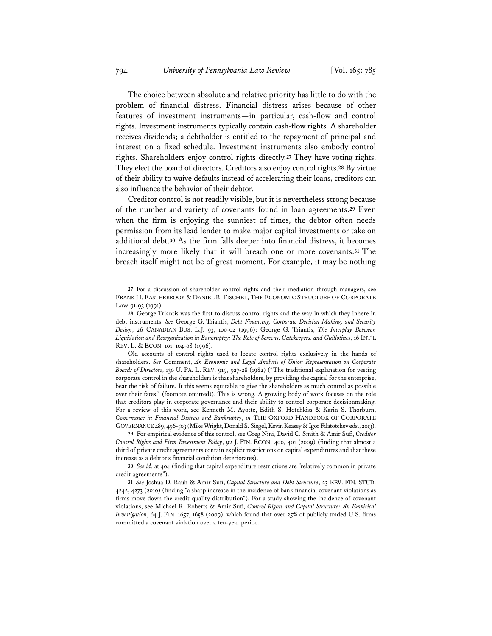The choice between absolute and relative priority has little to do with the problem of financial distress. Financial distress arises because of other features of investment instruments—in particular, cash-flow and control rights. Investment instruments typically contain cash-flow rights. A shareholder receives dividends; a debtholder is entitled to the repayment of principal and interest on a fixed schedule. Investment instruments also embody control rights. Shareholders enjoy control rights directly.**<sup>27</sup>** They have voting rights. They elect the board of directors. Creditors also enjoy control rights.**<sup>28</sup>** By virtue of their ability to waive defaults instead of accelerating their loans, creditors can also influence the behavior of their debtor.

Creditor control is not readily visible, but it is nevertheless strong because of the number and variety of covenants found in loan agreements.**<sup>29</sup>** Even when the firm is enjoying the sunniest of times, the debtor often needs permission from its lead lender to make major capital investments or take on additional debt.**<sup>30</sup>** As the firm falls deeper into financial distress, it becomes increasingly more likely that it will breach one or more covenants.**<sup>31</sup>** The breach itself might not be of great moment. For example, it may be nothing

**29** For empirical evidence of this control, see Greg Nini, David C. Smith & Amir Sufi, *Creditor Control Rights and Firm Investment Policy*, 92 J. FIN. ECON. 400, 401 (2009) (finding that almost a third of private credit agreements contain explicit restrictions on capital expenditures and that these increase as a debtor's financial condition deteriorates).

**<sup>27</sup>** For a discussion of shareholder control rights and their mediation through managers, see FRANK H. EASTERBROOK & DANIEL R. FISCHEL, THE ECONOMIC STRUCTURE OF CORPORATE LAW 91-93 (1991).

**<sup>28</sup>** George Triantis was the first to discuss control rights and the way in which they inhere in debt instruments. *See* George G. Triantis, *Debt Financing, Corporate Decision Making, and Security Design*, 26 CANADIAN BUS. L.J. 93, 100-02 (1996); George G. Triantis, *The Interplay Between Liquidation and Reorganization in Bankruptcy: The Role of Screens, Gatekeepers, and Guillotines*, 16 INT'L REV. L. & ECON. 101, 104-08 (1996).

Old accounts of control rights used to locate control rights exclusively in the hands of shareholders. *See* Comment, *An Economic and Legal Analysis of Union Representation on Corporate Boards of Directors*, 130 U. PA. L. REV. 919, 927-28 (1982) ("The traditional explanation for vesting corporate control in the shareholders is that shareholders, by providing the capital for the enterprise, bear the risk of failure. It this seems equitable to give the shareholders as much control as possible over their fates." (footnote omitted)). This is wrong. A growing body of work focuses on the role that creditors play in corporate governance and their ability to control corporate decisionmaking. For a review of this work, see Kenneth M. Ayotte, Edith S. Hotchkiss & Karin S. Thorburn, *Governance in Financial Distress and Bankruptcy*, *in* THE OXFORD HANDBOOK OF CORPORATE GOVERNANCE 489, 496-503 (Mike Wright, Donald S. Siegel, Kevin Keasey & Igor Filatotchev eds., 2013).

**<sup>30</sup>** *See id.* at 404 (finding that capital expenditure restrictions are "relatively common in private credit agreements").

**<sup>31</sup>** *See* Joshua D. Rauh & Amir Sufi, *Capital Structure and Debt Structure*, 23 REV. FIN. STUD. 4242, 4273 (2010) (finding "a sharp increase in the incidence of bank financial covenant violations as firms move down the credit-quality distribution"). For a study showing the incidence of covenant violations, see Michael R. Roberts & Amir Sufi, *Control Rights and Capital Structure: An Empirical Investigation*, 64 J. FIN. 1657, 1658 (2009), which found that over 25% of publicly traded U.S. firms committed a covenant violation over a ten-year period.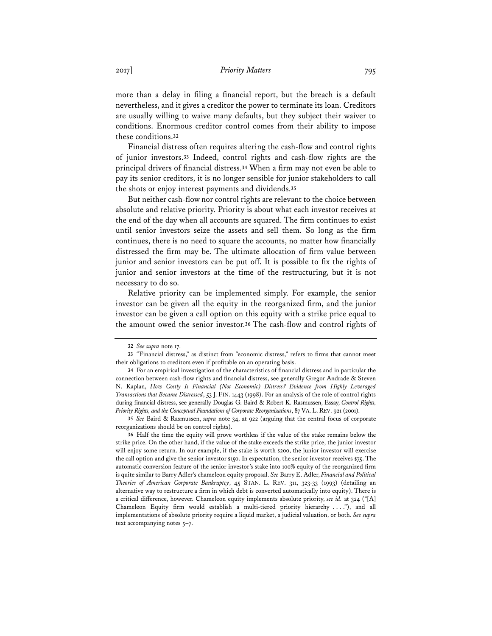more than a delay in filing a financial report, but the breach is a default nevertheless, and it gives a creditor the power to terminate its loan. Creditors are usually willing to waive many defaults, but they subject their waiver to conditions. Enormous creditor control comes from their ability to impose these conditions.**<sup>32</sup>**

Financial distress often requires altering the cash-flow and control rights of junior investors.**<sup>33</sup>** Indeed, control rights and cash-flow rights are the principal drivers of financial distress.**<sup>34</sup>** When a firm may not even be able to pay its senior creditors, it is no longer sensible for junior stakeholders to call the shots or enjoy interest payments and dividends.**<sup>35</sup>**

But neither cash-flow nor control rights are relevant to the choice between absolute and relative priority. Priority is about what each investor receives at the end of the day when all accounts are squared. The firm continues to exist until senior investors seize the assets and sell them. So long as the firm continues, there is no need to square the accounts, no matter how financially distressed the firm may be. The ultimate allocation of firm value between junior and senior investors can be put off. It is possible to fix the rights of junior and senior investors at the time of the restructuring, but it is not necessary to do so.

Relative priority can be implemented simply. For example, the senior investor can be given all the equity in the reorganized firm, and the junior investor can be given a call option on this equity with a strike price equal to the amount owed the senior investor.**<sup>36</sup>** The cash-flow and control rights of

**<sup>32</sup>** *See supra* note 17.

**<sup>33</sup>** "Financial distress," as distinct from "economic distress," refers to firms that cannot meet their obligations to creditors even if profitable on an operating basis.

**<sup>34</sup>** For an empirical investigation of the characteristics of financial distress and in particular the connection between cash-flow rights and financial distress, see generally Gregor Andrade & Steven N. Kaplan, *How Costly Is Financial (Not Economic) Distress? Evidence from Highly Leveraged Transactions that Became Distressed*, 53 J. FIN. 1443 (1998). For an analysis of the role of control rights during financial distress, see generally Douglas G. Baird & Robert K. Rasmussen, Essay, *Control Rights, Priority Rights, and the Conceptual Foundations of Corporate Reorganizations*, 87 VA. L.REV. 921 (2001).

**<sup>35</sup>** *See* Baird & Rasmussen, *supra* note 34, at 922 (arguing that the central focus of corporate reorganizations should be on control rights).

**<sup>36</sup>** Half the time the equity will prove worthless if the value of the stake remains below the strike price. On the other hand, if the value of the stake exceeds the strike price, the junior investor will enjoy some return. In our example, if the stake is worth \$200, the junior investor will exercise the call option and give the senior investor \$150. In expectation, the senior investor receives \$75. The automatic conversion feature of the senior investor's stake into 100% equity of the reorganized firm is quite similar to Barry Adler's chameleon equity proposal. *See* Barry E. Adler, *Financial and Political Theories of American Corporate Bankruptcy*, 45 STAN. L. REV. 311, 323-33 (1993) (detailing an alternative way to restructure a firm in which debt is converted automatically into equity). There is a critical difference, however. Chameleon equity implements absolute priority, *see id.* at 324 ("[A] Chameleon Equity firm would establish a multi-tiered priority hierarchy . . . ."), and all implementations of absolute priority require a liquid market, a judicial valuation, or both. *See supra* text accompanying notes 5–7.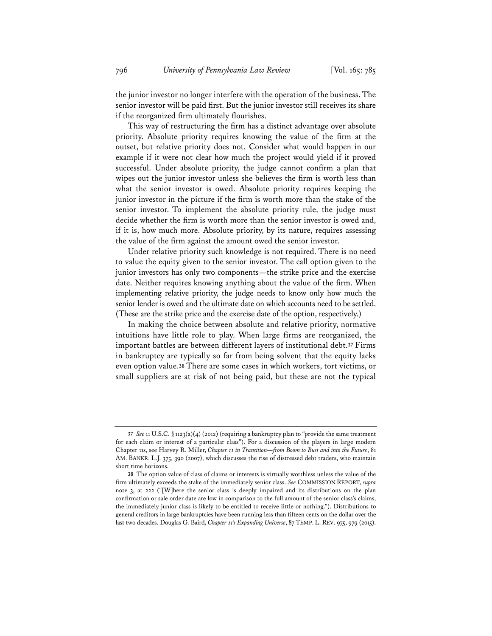the junior investor no longer interfere with the operation of the business. The senior investor will be paid first. But the junior investor still receives its share if the reorganized firm ultimately flourishes.

This way of restructuring the firm has a distinct advantage over absolute priority. Absolute priority requires knowing the value of the firm at the outset, but relative priority does not. Consider what would happen in our example if it were not clear how much the project would yield if it proved successful. Under absolute priority, the judge cannot confirm a plan that wipes out the junior investor unless she believes the firm is worth less than what the senior investor is owed. Absolute priority requires keeping the junior investor in the picture if the firm is worth more than the stake of the senior investor. To implement the absolute priority rule, the judge must decide whether the firm is worth more than the senior investor is owed and, if it is, how much more. Absolute priority, by its nature, requires assessing the value of the firm against the amount owed the senior investor.

Under relative priority such knowledge is not required. There is no need to value the equity given to the senior investor. The call option given to the junior investors has only two components—the strike price and the exercise date. Neither requires knowing anything about the value of the firm. When implementing relative priority, the judge needs to know only how much the senior lender is owed and the ultimate date on which accounts need to be settled. (These are the strike price and the exercise date of the option, respectively.)

In making the choice between absolute and relative priority, normative intuitions have little role to play. When large firms are reorganized, the important battles are between different layers of institutional debt.**<sup>37</sup>** Firms in bankruptcy are typically so far from being solvent that the equity lacks even option value.**<sup>38</sup>** There are some cases in which workers, tort victims, or small suppliers are at risk of not being paid, but these are not the typical

**<sup>37</sup>** *See* 11 U.S.C. § 1123(a)(4) (2012) (requiring a bankruptcy plan to "provide the same treatment for each claim or interest of a particular class"). For a discussion of the players in large modern Chapter 11s, see Harvey R. Miller, *Chapter 11 in Transition—from Boom to Bust and into the Future*, 81 AM. BANKR. L.J. 375, 390 (2007), which discusses the rise of distressed debt traders, who maintain short time horizons.

**<sup>38</sup>** The option value of class of claims or interests is virtually worthless unless the value of the firm ultimately exceeds the stake of the immediately senior class. *See* COMMISSION REPORT, *supra* note 3, at 222 ("[W]here the senior class is deeply impaired and its distributions on the plan confirmation or sale order date are low in comparison to the full amount of the senior class's claims, the immediately junior class is likely to be entitled to receive little or nothing."). Distributions to general creditors in large bankruptcies have been running less than fifteen cents on the dollar over the last two decades. Douglas G. Baird, *Chapter 11's Expanding Universe*, 87 TEMP. L. REV. 975, 979 (2015).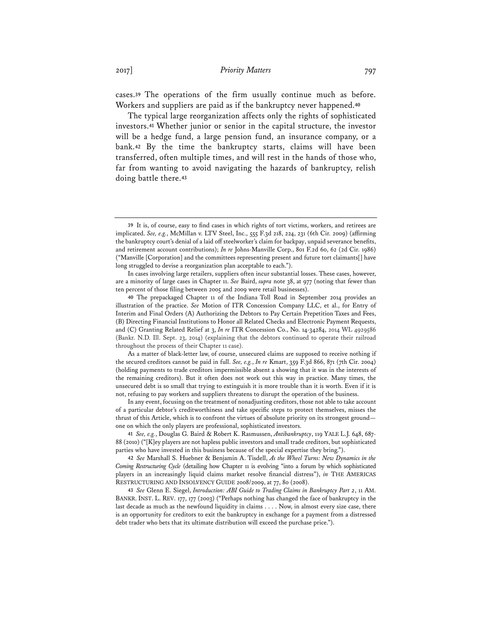cases.**<sup>39</sup>** The operations of the firm usually continue much as before. Workers and suppliers are paid as if the bankruptcy never happened.**<sup>40</sup>**

The typical large reorganization affects only the rights of sophisticated investors.**<sup>41</sup>** Whether junior or senior in the capital structure, the investor will be a hedge fund, a large pension fund, an insurance company, or a bank.**<sup>42</sup>** By the time the bankruptcy starts, claims will have been transferred, often multiple times, and will rest in the hands of those who, far from wanting to avoid navigating the hazards of bankruptcy, relish doing battle there.**<sup>43</sup>**

As a matter of black-letter law, of course, unsecured claims are supposed to receive nothing if the secured creditors cannot be paid in full. *See, e.g.*, *In re* Kmart, 359 F.3d 866, 871 (7th Cir. 2004) (holding payments to trade creditors impermissible absent a showing that it was in the interests of the remaining creditors). But it often does not work out this way in practice. Many times, the unsecured debt is so small that trying to extinguish it is more trouble than it is worth. Even if it is not, refusing to pay workers and suppliers threatens to disrupt the operation of the business.

In any event, focusing on the treatment of nonadjusting creditors, those not able to take account of a particular debtor's creditworthiness and take specific steps to protect themselves, misses the thrust of this Article, which is to confront the virtues of absolute priority on its strongest ground one on which the only players are professional, sophisticated investors.

**41** *See, e.g.*, Douglas G. Baird & Robert K. Rasmussen, *Antibankruptcy*, 119 YALE L.J. 648, 687- 88 (2010) ("[K]ey players are not hapless public investors and small trade creditors, but sophisticated parties who have invested in this business because of the special expertise they bring.").

**42** *See* Marshall S. Huebner & Benjamin A. Tisdell, *As the Wheel Turns: New Dynamics in the Coming Restructuring Cycle* (detailing how Chapter 11 is evolving "into a forum by which sophisticated players in an increasingly liquid claims market resolve financial distress"), *in* THE AMERICAS RESTRUCTURING AND INSOLVENCY GUIDE 2008/2009, at 77, 80 (2008).

**43** *See* Glenn E. Siegel, *Introduction: ABI Guide to Trading Claims in Bankruptcy Part 2*, 11 AM. BANKR. INST. L. REV. 177, 177 (2003) ("Perhaps nothing has changed the face of bankruptcy in the last decade as much as the newfound liquidity in claims . . . . Now, in almost every size case, there is an opportunity for creditors to exit the bankruptcy in exchange for a payment from a distressed debt trader who bets that its ultimate distribution will exceed the purchase price.").

**<sup>39</sup>** It is, of course, easy to find cases in which rights of tort victims, workers, and retirees are implicated. *See, e.g.*, McMillan v. LTV Steel, Inc., 555 F.3d 218, 224, 231 (6th Cir. 2009) (affirming the bankruptcy court's denial of a laid off steelworker's claim for backpay, unpaid severance benefits, and retirement account contributions); *In re* Johns-Manville Corp., 801 F.2d 60, 62 (2d Cir. 1986) ("Manville [Corporation] and the committees representing present and future tort claimants[] have long struggled to devise a reorganization plan acceptable to each.").

In cases involving large retailers, suppliers often incur substantial losses. These cases, however, are a minority of large cases in Chapter 11. *See* Baird, *supra* note 38, at 977 (noting that fewer than ten percent of those filing between 2005 and 2009 were retail businesses).

**<sup>40</sup>** The prepackaged Chapter 11 of the Indiana Toll Road in September 2014 provides an illustration of the practice. *See* Motion of ITR Concession Company LLC, et al., for Entry of Interim and Final Orders (A) Authorizing the Debtors to Pay Certain Prepetition Taxes and Fees, (B) Directing Financial Institutions to Honor all Related Checks and Electronic Payment Requests, and (C) Granting Related Relief at 3, *In re* ITR Concession Co., No. 14-34284, 2014 WL 4929586 (Bankr. N.D. Ill. Sept. 23, 2014) (explaining that the debtors continued to operate their railroad throughout the process of their Chapter 11 case).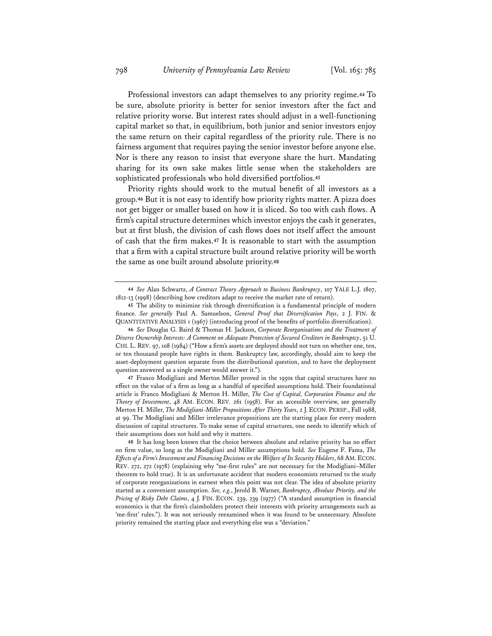Professional investors can adapt themselves to any priority regime.**<sup>44</sup>** To be sure, absolute priority is better for senior investors after the fact and relative priority worse. But interest rates should adjust in a well-functioning capital market so that, in equilibrium, both junior and senior investors enjoy the same return on their capital regardless of the priority rule. There is no fairness argument that requires paying the senior investor before anyone else. Nor is there any reason to insist that everyone share the hurt. Mandating sharing for its own sake makes little sense when the stakeholders are sophisticated professionals who hold diversified portfolios.**<sup>45</sup>**

Priority rights should work to the mutual benefit of all investors as a group.**<sup>46</sup>** But it is not easy to identify how priority rights matter. A pizza does not get bigger or smaller based on how it is sliced. So too with cash flows. A firm's capital structure determines which investor enjoys the cash it generates, but at first blush, the division of cash flows does not itself affect the amount of cash that the firm makes.**<sup>47</sup>** It is reasonable to start with the assumption that a firm with a capital structure built around relative priority will be worth the same as one built around absolute priority.**<sup>48</sup>**

**<sup>44</sup>** *See* Alan Schwartz, *A Contract Theory Approach to Business Bankruptcy*, 107 YALE L.J. 1807, 1812-13 (1998) (describing how creditors adapt to receive the market rate of return).

**<sup>45</sup>** The ability to minimize risk through diversification is a fundamental principle of modern finance. *See generally* Paul A. Samuelson, *General Proof that Diversification Pays*, 2 J. FIN. & QUANTITATIVE ANALYSIS 1 (1967) (introducing proof of the benefits of portfolio diversification).

**<sup>46</sup>** *See* Douglas G. Baird & Thomas H. Jackson, *Corporate Reorganizations and the Treatment of Diverse Ownership Interests: A Comment on Adequate Protection of Secured Creditors in Bankruptcy*, 51 U. CHI. L. REV. 97, 108 (1984) ("How a firm's assets are deployed should not turn on whether one, ten, or ten thousand people have rights in them. Bankruptcy law, accordingly, should aim to keep the asset-deployment question separate from the distributional question, and to have the deployment question answered as a single owner would answer it.").

**<sup>47</sup>** Franco Modigliani and Merton Miller proved in the 1950s that capital structures have no effect on the value of a firm as long as a handful of specified assumptions hold. Their foundational article is Franco Modigliani & Merton H. Miller, *The Cost of Capital, Corporation Finance and the Theory of Investment*, 48 AM. ECON. REV. 261 (1958). For an accessible overview, see generally Merton H. Miller, *The Modigliani-Miller Propositions After Thirty Years*, 2 J. ECON. PERSP., Fall 1988, at 99. The Modigliani and Miller irrelevance propositions are the starting place for every modern discussion of capital structures. To make sense of capital structures, one needs to identify which of their assumptions does not hold and why it matters.

**<sup>48</sup>** It has long been known that the choice between absolute and relative priority has no effect on firm value, so long as the Modigliani and Miller assumptions hold. *See* Eugene F. Fama, *The Effects of a Firm's Investment and Financing Decisions on the Welfare of Its Security Holders*, 68 AM.ECON. REV. 272, 272 (1978) (explaining why "me-first rules" are not necessary for the Modigliani–Miller theorem to hold true). It is an unfortunate accident that modern economists returned to the study of corporate reorganizations in earnest when this point was not clear. The idea of absolute priority started as a convenient assumption. *See, e.g.*, Jerold B. Warner, *Bankruptcy, Absolute Priority, and the Pricing of Risky Debt Claims*, 4 J. FIN. ECON. 239, 239 (1977) ("A standard assumption in financial economics is that the firm's claimholders protect their interests with priority arrangements such as 'me-first' rules."). It was not seriously reexamined when it was found to be unnecessary. Absolute priority remained the starting place and everything else was a "deviation."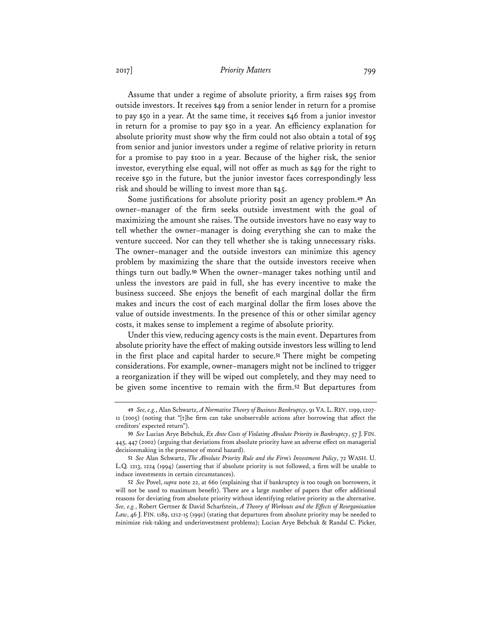## 2017] *Priority Matters* 799

Assume that under a regime of absolute priority, a firm raises \$95 from outside investors. It receives \$49 from a senior lender in return for a promise to pay \$50 in a year. At the same time, it receives \$46 from a junior investor in return for a promise to pay \$50 in a year. An efficiency explanation for absolute priority must show why the firm could not also obtain a total of \$95 from senior and junior investors under a regime of relative priority in return for a promise to pay \$100 in a year. Because of the higher risk, the senior investor, everything else equal, will not offer as much as \$49 for the right to receive \$50 in the future, but the junior investor faces correspondingly less risk and should be willing to invest more than \$45.

Some justifications for absolute priority posit an agency problem.**<sup>49</sup>** An owner–manager of the firm seeks outside investment with the goal of maximizing the amount she raises. The outside investors have no easy way to tell whether the owner–manager is doing everything she can to make the venture succeed. Nor can they tell whether she is taking unnecessary risks. The owner–manager and the outside investors can minimize this agency problem by maximizing the share that the outside investors receive when things turn out badly.**<sup>50</sup>** When the owner–manager takes nothing until and unless the investors are paid in full, she has every incentive to make the business succeed. She enjoys the benefit of each marginal dollar the firm makes and incurs the cost of each marginal dollar the firm loses above the value of outside investments. In the presence of this or other similar agency costs, it makes sense to implement a regime of absolute priority.

Under this view, reducing agency costs is the main event. Departures from absolute priority have the effect of making outside investors less willing to lend in the first place and capital harder to secure.**<sup>51</sup>** There might be competing considerations. For example, owner–managers might not be inclined to trigger a reorganization if they will be wiped out completely, and they may need to be given some incentive to remain with the firm.**<sup>52</sup>** But departures from

**<sup>49</sup>** *See, e.g.*, Alan Schwartz, *A Normative Theory of Business Bankruptcy*, 91 VA. L. REV. 1199, 1207- 11 (2005) (noting that "[t]he firm can take unobservable actions after borrowing that affect the creditors' expected return").

**<sup>50</sup>** *See* Lucian Arye Bebchuk, *Ex Ante Costs of Violating Absolute Priority in Bankruptcy*, 57 J. FIN. 445, 447 (2002) (arguing that deviations from absolute priority have an adverse effect on managerial decisionmaking in the presence of moral hazard).

**<sup>51</sup>** *See* Alan Schwartz, *The Absolute Priority Rule and the Firm's Investment Policy*, 72 WASH. U. L.Q. 1213, 1224 (1994) (asserting that if absolute priority is not followed, a firm will be unable to induce investments in certain circumstances).

**<sup>52</sup>** *See* Povel, *supra* note 22, at 660 (explaining that if bankruptcy is too tough on borrowers, it will not be used to maximum benefit). There are a large number of papers that offer additional reasons for deviating from absolute priority without identifying relative priority as the alternative. *See, e.g.*, Robert Gertner & David Scharfstein, *A Theory of Workouts and the Effects of Reorganization Law*, 46 J. FIN. 1189, 1212-15 (1991) (stating that departures from absolute priority may be needed to minimize risk-taking and underinvestment problems); Lucian Arye Bebchuk & Randal C. Picker,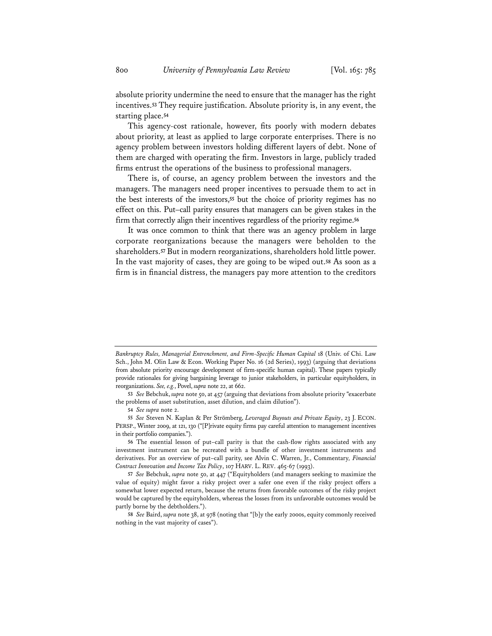absolute priority undermine the need to ensure that the manager has the right incentives.**<sup>53</sup>** They require justification. Absolute priority is, in any event, the starting place.**<sup>54</sup>**

This agency-cost rationale, however, fits poorly with modern debates about priority, at least as applied to large corporate enterprises. There is no agency problem between investors holding different layers of debt. None of them are charged with operating the firm. Investors in large, publicly traded firms entrust the operations of the business to professional managers.

There is, of course, an agency problem between the investors and the managers. The managers need proper incentives to persuade them to act in the best interests of the investors,**<sup>55</sup>** but the choice of priority regimes has no effect on this. Put–call parity ensures that managers can be given stakes in the firm that correctly align their incentives regardless of the priority regime.**<sup>56</sup>**

It was once common to think that there was an agency problem in large corporate reorganizations because the managers were beholden to the shareholders.**<sup>57</sup>** But in modern reorganizations, shareholders hold little power. In the vast majority of cases, they are going to be wiped out.**<sup>58</sup>** As soon as a firm is in financial distress, the managers pay more attention to the creditors

*Bankruptcy Rules, Managerial Entrenchment, and Firm-Specific Human Capital* 18 (Univ. of Chi. Law Sch., John M. Olin Law & Econ. Working Paper No. 16 (2d Series), 1993) (arguing that deviations from absolute priority encourage development of firm-specific human capital). These papers typically provide rationales for giving bargaining leverage to junior stakeholders, in particular equityholders, in reorganizations. *See, e.g.*, Povel, *supra* note 22, at 662.

**<sup>53</sup>** *See* Bebchuk, *supra* note 50, at 457 (arguing that deviations from absolute priority "exacerbate the problems of asset substitution, asset dilution, and claim dilution").

**<sup>54</sup>** *See supra* note 2.

**<sup>55</sup>** *See* Steven N. Kaplan & Per Strömberg, *Leveraged Buyouts and Private Equity*, 23 J. ECON. PERSP., Winter 2009, at 121, 130 ("[P]rivate equity firms pay careful attention to management incentives in their portfolio companies.").

**<sup>56</sup>** The essential lesson of put–call parity is that the cash-flow rights associated with any investment instrument can be recreated with a bundle of other investment instruments and derivatives. For an overview of put–call parity, see Alvin C. Warren, Jr., Commentary*, Financial Contract Innovation and Income Tax Policy*, 107 HARV. L. REV. 465-67 (1993).

**<sup>57</sup>** *See* Bebchuk, *supra* note 50, at 447 ("Equityholders (and managers seeking to maximize the value of equity) might favor a risky project over a safer one even if the risky project offers a somewhat lower expected return, because the returns from favorable outcomes of the risky project would be captured by the equityholders, whereas the losses from its unfavorable outcomes would be partly borne by the debtholders.").

**<sup>58</sup>** *See* Baird, *supra* note 38, at 978 (noting that "[b]y the early 2000s, equity commonly received nothing in the vast majority of cases").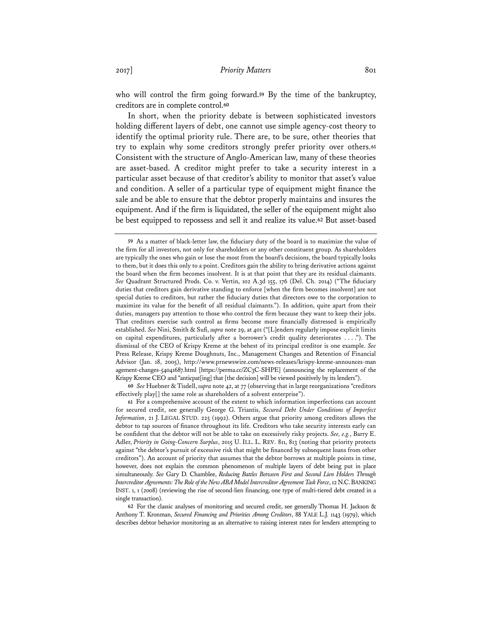who will control the firm going forward.**<sup>59</sup>** By the time of the bankruptcy, creditors are in complete control.**<sup>60</sup>**

In short, when the priority debate is between sophisticated investors holding different layers of debt, one cannot use simple agency-cost theory to identify the optimal priority rule. There are, to be sure, other theories that try to explain why some creditors strongly prefer priority over others.**<sup>61</sup>** Consistent with the structure of Anglo-American law, many of these theories are asset-based. A creditor might prefer to take a security interest in a particular asset because of that creditor's ability to monitor that asset's value and condition. A seller of a particular type of equipment might finance the sale and be able to ensure that the debtor properly maintains and insures the equipment. And if the firm is liquidated, the seller of the equipment might also be best equipped to repossess and sell it and realize its value.**<sup>62</sup>** But asset-based

**60** *See* Huebner & Tisdell, *supra* note 42, at 77 (observing that in large reorganizations "creditors effectively play[] the same role as shareholders of a solvent enterprise").

**61** For a comprehensive account of the extent to which information imperfections can account for secured credit, see generally George G. Triantis, *Secured Debt Under Conditions of Imperfect Information*, 21 J. LEGAL STUD. 225 (1992). Others argue that priority among creditors allows the debtor to tap sources of finance throughout its life. Creditors who take security interests early can be confident that the debtor will not be able to take on excessively risky projects. *See, e.g.*, Barry E. Adler, *Priority in Going-Concern Surplus*, 2015 U. ILL. L. REV. 811, 813 (noting that priority protects against "the debtor's pursuit of excessive risk that might be financed by subsequent loans from other creditors"). An account of priority that assumes that the debtor borrows at multiple points in time, however, does not explain the common phenomenon of multiple layers of debt being put in place simultaneously. *See* Gary D. Chamblee, *Reducing Battles Between First and Second Lien Holders Through Intercreditor Agreements: The Role of the New ABA Model Intercreditor Agreement Task Force*, 12 N.C.BANKING INST. 1, 1 (2008) (reviewing the rise of second-lien financing, one type of multi-tiered debt created in a single transaction).

**62** For the classic analyses of monitoring and secured credit, see generally Thomas H. Jackson & Anthony T. Kronman, *Secured Financing and Priorities Among Creditors*, 88 YALE L.J. 1143 (1979), which describes debtor behavior monitoring as an alternative to raising interest rates for lenders attempting to

**<sup>59</sup>** As a matter of black-letter law, the fiduciary duty of the board is to maximize the value of the firm for all investors, not only for shareholders or any other constituent group. As shareholders are typically the ones who gain or lose the most from the board's decisions, the board typically looks to them, but it does this only to a point. Creditors gain the ability to bring derivative actions against the board when the firm becomes insolvent. It is at that point that they are its residual claimants. *See* Quadrant Structured Prods. Co. v. Vertin, 102 A.3d 155, 176 (Del. Ch. 2014) ("The fiduciary duties that creditors gain derivative standing to enforce [when the firm becomes insolvent] are not special duties to creditors, but rather the fiduciary duties that directors owe to the corporation to maximize its value for the benefit of all residual claimants."). In addition, quite apart from their duties, managers pay attention to those who control the firm because they want to keep their jobs. That creditors exercise such control as firms become more financially distressed is empirically established. *See* Nini, Smith & Sufi, *supra* note 29, at 401 ("[L]enders regularly impose explicit limits on capital expenditures, particularly after a borrower's credit quality deteriorates . . . ."). The dismissal of the CEO of Krispy Kreme at the behest of its principal creditor is one example. *See* Press Release, Krispy Kreme Doughnuts, Inc., Management Changes and Retention of Financial Advisor (Jan. 18, 2005), http://www.prnewswire.com/news-releases/krispy-kreme-announces-man agement-changes-54041687.html [https://perma.cc/ZC3C-SHPE] (announcing the replacement of the Krispy Kreme CEO and "anticpat[ing] that [the decision] will be viewed positively by its lenders").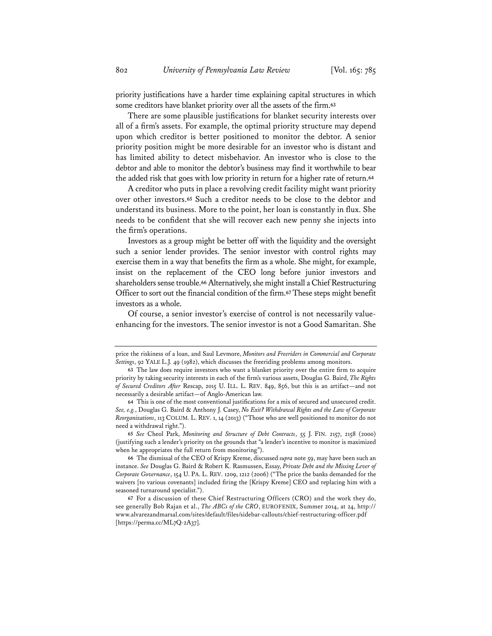priority justifications have a harder time explaining capital structures in which some creditors have blanket priority over all the assets of the firm.**<sup>63</sup>**

There are some plausible justifications for blanket security interests over all of a firm's assets. For example, the optimal priority structure may depend upon which creditor is better positioned to monitor the debtor. A senior priority position might be more desirable for an investor who is distant and has limited ability to detect misbehavior. An investor who is close to the debtor and able to monitor the debtor's business may find it worthwhile to bear the added risk that goes with low priority in return for a higher rate of return.**<sup>64</sup>**

A creditor who puts in place a revolving credit facility might want priority over other investors.**<sup>65</sup>** Such a creditor needs to be close to the debtor and understand its business. More to the point, her loan is constantly in flux. She needs to be confident that she will recover each new penny she injects into the firm's operations.

Investors as a group might be better off with the liquidity and the oversight such a senior lender provides. The senior investor with control rights may exercise them in a way that benefits the firm as a whole. She might, for example, insist on the replacement of the CEO long before junior investors and shareholders sense trouble.**<sup>66</sup>** Alternatively, she might install a Chief Restructuring Officer to sort out the financial condition of the firm.**<sup>67</sup>** These steps might benefit investors as a whole.

Of course, a senior investor's exercise of control is not necessarily valueenhancing for the investors. The senior investor is not a Good Samaritan. She

**65** *See* Cheol Park, *Monitoring and Structure of Debt Contracts*, 55 J. FIN. 2157, 2158 (2000) (justifying such a lender's priority on the grounds that "a lender's incentive to monitor is maximized when he appropriates the full return from monitoring").

price the riskiness of a loan, and Saul Levmore, *Monitors and Freeriders in Commercial and Corporate Settings*, 92 YALE L.J. 49 (1982), which discusses the freeriding problems among monitors.

**<sup>63</sup>** The law does require investors who want a blanket priority over the entire firm to acquire priority by taking security interests in each of the firm's various assets, Douglas G. Baird, *The Rights of Secured Creditors After* Rescap, 2015 U. ILL. L. REV. 849, 856, but this is an artifact—and not necessarily a desirable artifact—of Anglo-American law.

**<sup>64</sup>** This is one of the most conventional justifications for a mix of secured and unsecured credit. *See, e.g.*, Douglas G. Baird & Anthony J. Casey, *No Exit? Withdrawal Rights and the Law of Corporate Reorganizations*, 113 COLUM. L. REV. 1, 14 (2013) ("Those who are well positioned to monitor do not need a withdrawal right.").

**<sup>66</sup>** The dismissal of the CEO of Krispy Kreme, discussed *supra* note 59, may have been such an instance. *See* Douglas G. Baird & Robert K. Rasmussen, Essay, *Private Debt and the Missing Lever of Corporate Governance*, 154 U. PA. L. REV. 1209, 1212 (2006) ("The price the banks demanded for the waivers [to various covenants] included firing the [Krispy Kreme] CEO and replacing him with a seasoned turnaround specialist.").

**<sup>67</sup>** For a discussion of these Chief Restructuring Officers (CRO) and the work they do, see generally Bob Rajan et al., *The ABCs of the CRO*, EUROFENIX, Summer 2014, at 24, http:// www.alvarezandmarsal.com/sites/default/files/sidebar-callouts/chief-restructuring-officer.pdf [https://perma.cc/ML7Q-2A37].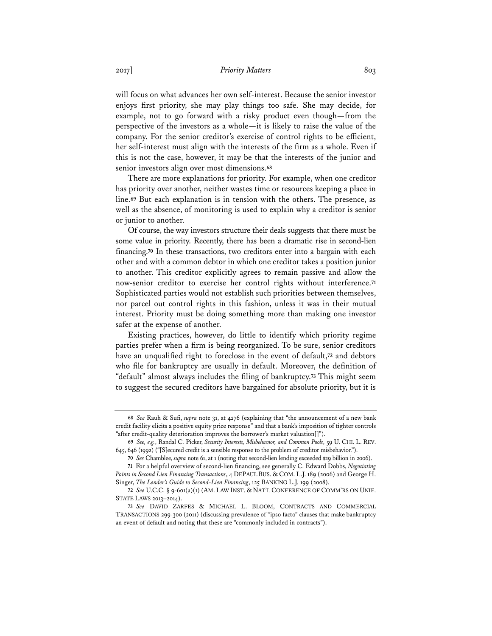will focus on what advances her own self-interest. Because the senior investor enjoys first priority, she may play things too safe. She may decide, for example, not to go forward with a risky product even though—from the perspective of the investors as a whole—it is likely to raise the value of the company. For the senior creditor's exercise of control rights to be efficient, her self-interest must align with the interests of the firm as a whole. Even if this is not the case, however, it may be that the interests of the junior and senior investors align over most dimensions.**<sup>68</sup>**

There are more explanations for priority. For example, when one creditor has priority over another, neither wastes time or resources keeping a place in line.**<sup>69</sup>** But each explanation is in tension with the others. The presence, as well as the absence, of monitoring is used to explain why a creditor is senior or junior to another.

Of course, the way investors structure their deals suggests that there must be some value in priority. Recently, there has been a dramatic rise in second-lien financing.**<sup>70</sup>** In these transactions, two creditors enter into a bargain with each other and with a common debtor in which one creditor takes a position junior to another. This creditor explicitly agrees to remain passive and allow the now-senior creditor to exercise her control rights without interference.**<sup>71</sup>** Sophisticated parties would not establish such priorities between themselves, nor parcel out control rights in this fashion, unless it was in their mutual interest. Priority must be doing something more than making one investor safer at the expense of another.

Existing practices, however, do little to identify which priority regime parties prefer when a firm is being reorganized. To be sure, senior creditors have an unqualified right to foreclose in the event of default,**<sup>72</sup>** and debtors who file for bankruptcy are usually in default. Moreover, the definition of "default" almost always includes the filing of bankruptcy.**<sup>73</sup>** This might seem to suggest the secured creditors have bargained for absolute priority, but it is

**<sup>68</sup>** *See* Rauh & Sufi, *supra* note 31, at 4276 (explaining that "the announcement of a new bank credit facility elicits a positive equity price response" and that a bank's imposition of tighter controls "after credit-quality deterioration improves the borrower's market valuation[]").

**<sup>69</sup>** *See, e.g.*, Randal C. Picker, *Security Interests, Misbehavior, and Common Pools*, 59 U. CHI. L. REV. 645, 646 (1992) ("[S]ecured credit is a sensible response to the problem of creditor misbehavior.").

**<sup>70</sup>** *See* Chamblee, *supra* note 61, at 1 (noting that second-lien lending exceeded \$29 billion in 2006).

**<sup>71</sup>** For a helpful overview of second-lien financing, see generally C. Edward Dobbs, *Negotiating Points in Second Lien Financing Transactions*, 4 DEPAUL BUS. & COM. L.J. 189 (2006) and George H. Singer, *The Lender's Guide to Second-Lien Financing*, 125 BANKING L.J. 199 (2008).

**<sup>72</sup>** *See* U.C.C. § 9-601(a)(1) (AM. LAW INST. & NAT'L CONFERENCE OF COMM'RS ON UNIF. STATE LAWS 2013–2014).

**<sup>73</sup>** *See* DAVID ZARFES & MICHAEL L. BLOOM, CONTRACTS AND COMMERCIAL TRANSACTIONS 299-300 (2011) (discussing prevalence of "ipso facto" clauses that make bankruptcy an event of default and noting that these are "commonly included in contracts").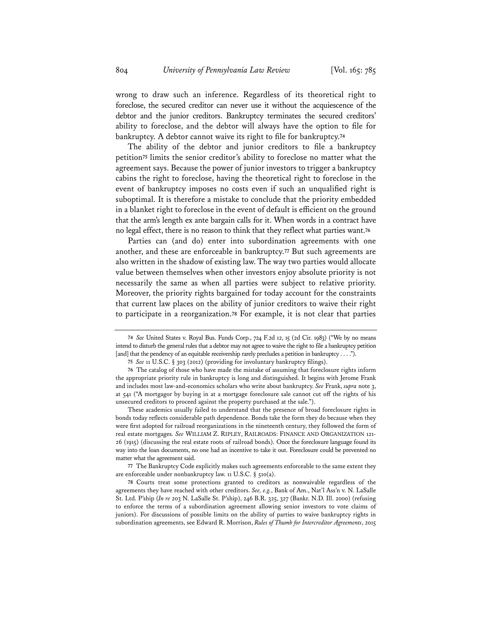wrong to draw such an inference. Regardless of its theoretical right to foreclose, the secured creditor can never use it without the acquiescence of the debtor and the junior creditors. Bankruptcy terminates the secured creditors' ability to foreclose, and the debtor will always have the option to file for bankruptcy. A debtor cannot waive its right to file for bankruptcy.**<sup>74</sup>**

The ability of the debtor and junior creditors to file a bankruptcy petition**<sup>75</sup>** limits the senior creditor's ability to foreclose no matter what the agreement says. Because the power of junior investors to trigger a bankruptcy cabins the right to foreclose, having the theoretical right to foreclose in the event of bankruptcy imposes no costs even if such an unqualified right is suboptimal. It is therefore a mistake to conclude that the priority embedded in a blanket right to foreclose in the event of default is efficient on the ground that the arm's length ex ante bargain calls for it. When words in a contract have no legal effect, there is no reason to think that they reflect what parties want.**<sup>76</sup>**

Parties can (and do) enter into subordination agreements with one another, and these are enforceable in bankruptcy.**<sup>77</sup>** But such agreements are also written in the shadow of existing law. The way two parties would allocate value between themselves when other investors enjoy absolute priority is not necessarily the same as when all parties were subject to relative priority. Moreover, the priority rights bargained for today account for the constraints that current law places on the ability of junior creditors to waive their right to participate in a reorganization.**<sup>78</sup>** For example, it is not clear that parties

These academics usually failed to understand that the presence of broad foreclosure rights in bonds today reflects considerable path dependence. Bonds take the form they do because when they were first adopted for railroad reorganizations in the nineteenth century, they followed the form of real estate mortgages. *See* WILLIAM Z. RIPLEY, RAILROADS: FINANCE AND ORGANIZATION 121- 26 (1915) (discussing the real estate roots of railroad bonds). Once the foreclosure language found its way into the loan documents, no one had an incentive to take it out. Foreclosure could be prevented no matter what the agreement said.

**77** The Bankruptcy Code explicitly makes such agreements enforceable to the same extent they are enforceable under nonbankruptcy law. 11 U.S.C. § 510(a).

**78** Courts treat some protections granted to creditors as nonwaivable regardless of the agreements they have reached with other creditors. *See, e.g.*, Bank of Am., Nat'l Ass'n v. N. LaSalle St. Ltd. P'ship (*In re* 203 N. LaSalle St. P'ship), 246 B.R. 325, 327 (Bankr. N.D. Ill. 2000) (refusing to enforce the terms of a subordination agreement allowing senior investors to vote claims of juniors). For discussions of possible limits on the ability of parties to waive bankruptcy rights in subordination agreements, see Edward R. Morrison, *Rules of Thumb for Intercreditor Agreements*, 2015

**<sup>74</sup>** *See* United States v. Royal Bus. Funds Corp., 724 F.2d 12, 15 (2d Cir. 1983) ("We by no means intend to disturb the general rules that a debtor may not agree to waive the right to file a bankruptcy petition [and] that the pendency of an equitable receivership rarely precludes a petition in bankruptcy . . . .").

**<sup>75</sup>** *See* 11 U.S.C. § 303 (2012) (providing for involuntary bankruptcy filings).

**<sup>76</sup>** The catalog of those who have made the mistake of assuming that foreclosure rights inform the appropriate priority rule in bankruptcy is long and distinguished. It begins with Jerome Frank and includes most law-and-economics scholars who write about bankruptcy. *See* Frank, *supra* note 3, at 541 ("A mortgagor by buying in at a mortgage foreclosure sale cannot cut off the rights of his unsecured creditors to proceed against the property purchased at the sale.").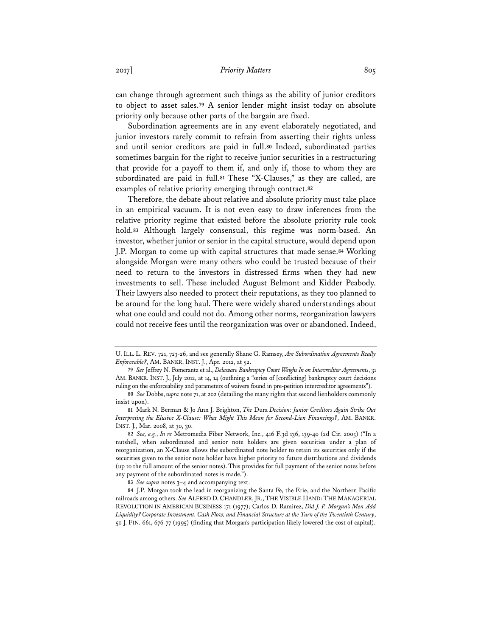can change through agreement such things as the ability of junior creditors to object to asset sales.**<sup>79</sup>** A senior lender might insist today on absolute priority only because other parts of the bargain are fixed.

Subordination agreements are in any event elaborately negotiated, and junior investors rarely commit to refrain from asserting their rights unless and until senior creditors are paid in full.**<sup>80</sup>** Indeed, subordinated parties sometimes bargain for the right to receive junior securities in a restructuring that provide for a payoff to them if, and only if, those to whom they are subordinated are paid in full.**<sup>81</sup>** These "X-Clauses," as they are called, are examples of relative priority emerging through contract.**<sup>82</sup>**

Therefore, the debate about relative and absolute priority must take place in an empirical vacuum. It is not even easy to draw inferences from the relative priority regime that existed before the absolute priority rule took hold.**<sup>83</sup>** Although largely consensual, this regime was norm-based. An investor, whether junior or senior in the capital structure, would depend upon J.P. Morgan to come up with capital structures that made sense.**<sup>84</sup>** Working alongside Morgan were many others who could be trusted because of their need to return to the investors in distressed firms when they had new investments to sell. These included August Belmont and Kidder Peabody. Their lawyers also needed to protect their reputations, as they too planned to be around for the long haul. There were widely shared understandings about what one could and could not do. Among other norms, reorganization lawyers could not receive fees until the reorganization was over or abandoned. Indeed,

U. ILL. L. REV. 721, 723-26, and see generally Shane G. Ramsey, *Are Subordination Agreements Really Enforceable?*, AM. BANKR. INST. J., Apr. 2012, at 52.

**<sup>79</sup>** *See* Jeffrey N. Pomerantz et al., *Delaware Bankruptcy Court Weighs In on Intercreditor Agreements*, 31 AM. BANKR. INST. J., July 2012, at 14, 14 (outlining a "series of [conflicting] bankruptcy court decisions ruling on the enforceability and parameters of waivers found in pre-petition intercreditor agreements").

**<sup>80</sup>** *See* Dobbs, *supra* note 71, at 202 (detailing the many rights that second lienholders commonly insist upon).

**<sup>81</sup>** Mark N. Berman & Jo Ann J. Brighton, *The* Dura *Decision: Junior Creditors Again Strike Out Interpreting the Elusive X-Clause: What Might This Mean for Second-Lien Financings?*, AM. BANKR. INST. J., Mar. 2008, at 30, 30.

**<sup>82</sup>** *See, e.g.*, *In re* Metromedia Fiber Network, Inc., 416 F.3d 136, 139-40 (2d Cir. 2005) ("In a nutshell, when subordinated and senior note holders are given securities under a plan of reorganization, an X-Clause allows the subordinated note holder to retain its securities only if the securities given to the senior note holder have higher priority to future distributions and dividends (up to the full amount of the senior notes). This provides for full payment of the senior notes before any payment of the subordinated notes is made.").

**<sup>83</sup>** *See supra* notes 3–4 and accompanying text.

**<sup>84</sup>** J.P. Morgan took the lead in reorganizing the Santa Fe, the Erie, and the Northern Pacific railroads among others. *See* ALFRED D. CHANDLER, JR., THE VISIBLE HAND: THE MANAGERIAL REVOLUTION IN AMERICAN BUSINESS 171 (1977); Carlos D. Ramirez, *Did J. P. Morgan's Men Add Liquidity? Corporate Investment, Cash Flow, and Financial Structure at the Turn of the Twentieth Century*, 50 J. FIN. 661, 676-77 (1995) (finding that Morgan's participation likely lowered the cost of capital).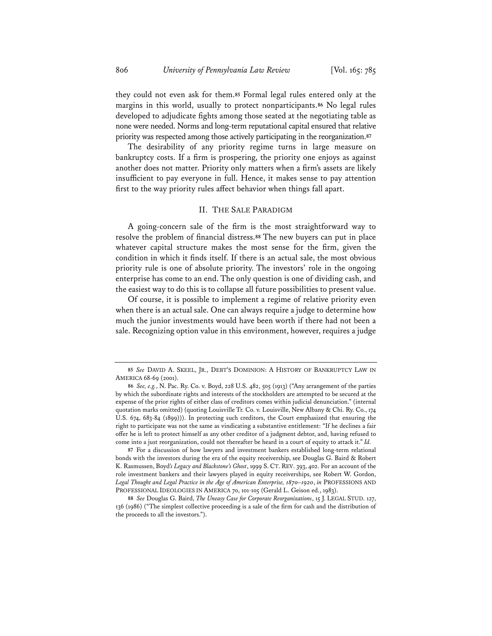they could not even ask for them.**<sup>85</sup>** Formal legal rules entered only at the margins in this world, usually to protect nonparticipants.**<sup>86</sup>** No legal rules developed to adjudicate fights among those seated at the negotiating table as none were needed. Norms and long-term reputational capital ensured that relative priority was respected among those actively participating in the reorganization.**<sup>87</sup>**

The desirability of any priority regime turns in large measure on bankruptcy costs. If a firm is prospering, the priority one enjoys as against another does not matter. Priority only matters when a firm's assets are likely insufficient to pay everyone in full. Hence, it makes sense to pay attention first to the way priority rules affect behavior when things fall apart.

#### II. THE SALE PARADIGM

A going-concern sale of the firm is the most straightforward way to resolve the problem of financial distress.**<sup>88</sup>** The new buyers can put in place whatever capital structure makes the most sense for the firm, given the condition in which it finds itself. If there is an actual sale, the most obvious priority rule is one of absolute priority. The investors' role in the ongoing enterprise has come to an end. The only question is one of dividing cash, and the easiest way to do this is to collapse all future possibilities to present value.

Of course, it is possible to implement a regime of relative priority even when there is an actual sale. One can always require a judge to determine how much the junior investments would have been worth if there had not been a sale. Recognizing option value in this environment, however, requires a judge

**87** For a discussion of how lawyers and investment bankers established long-term relational bonds with the investors during the era of the equity receivership, see Douglas G. Baird & Robert K. Rasmussen, Boyd*'s Legacy and Blackstone's Ghost*, 1999 S. CT. REV. 393, 402. For an account of the role investment bankers and their lawyers played in equity receiverships, see Robert W. Gordon, *Legal Thought and Legal Practice in the Age of American Enterprise, 1870–1920*, *in* PROFESSIONS AND PROFESSIONAL IDEOLOGIES IN AMERICA 70, 101-105 (Gerald L. Geison ed., 1983).

**<sup>85</sup>** *See* DAVID A. SKEEL, JR., DEBT'S DOMINION: A HISTORY OF BANKRUPTCY LAW IN AMERICA 68-69 (2001).

**<sup>86</sup>** *See, e.g.*, N. Pac. Ry. Co. v. Boyd, 228 U.S. 482, 505 (1913) ("Any arrangement of the parties by which the subordinate rights and interests of the stockholders are attempted to be secured at the expense of the prior rights of either class of creditors comes within judicial denunciation." (internal quotation marks omitted) (quoting Louisville Tr. Co. v. Louisville, New Albany & Chi. Ry. Co., 174 U.S. 674, 683-84 (1899))). In protecting such creditors, the Court emphasized that ensuring the right to participate was not the same as vindicating a substantive entitlement: "If he declines a fair offer he is left to protect himself as any other creditor of a judgment debtor, and, having refused to come into a just reorganization, could not thereafter be heard in a court of equity to attack it." *Id.*

**<sup>88</sup>** *See* Douglas G. Baird, *The Uneasy Case for Corporate Reorganizations*, 15 J. LEGAL STUD. 127, 136 (1986) ("The simplest collective proceeding is a sale of the firm for cash and the distribution of the proceeds to all the investors.").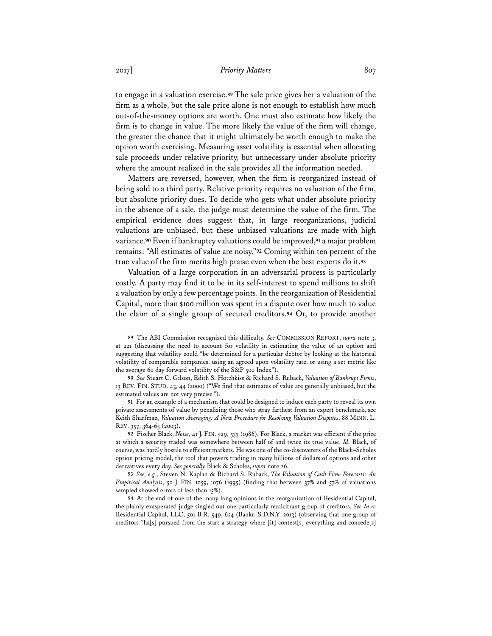to engage in a valuation exercise.**<sup>89</sup>** The sale price gives her a valuation of the firm as a whole, but the sale price alone is not enough to establish how much out-of-the-money options are worth. One must also estimate how likely the firm is to change in value. The more likely the value of the firm will change, the greater the chance that it might ultimately be worth enough to make the option worth exercising. Measuring asset volatility is essential when allocating sale proceeds under relative priority, but unnecessary under absolute priority where the amount realized in the sale provides all the information needed.

Matters are reversed, however, when the firm is reorganized instead of being sold to a third party. Relative priority requires no valuation of the firm, but absolute priority does. To decide who gets what under absolute priority in the absence of a sale, the judge must determine the value of the firm. The empirical evidence does suggest that, in large reorganizations, judicial valuations are unbiased, but these unbiased valuations are made with high variance.**<sup>90</sup>** Even if bankruptcy valuations could be improved,**<sup>91</sup>** a major problem remains: "All estimates of value are noisy."**<sup>92</sup>** Coming within ten percent of the true value of the firm merits high praise even when the best experts do it.**<sup>93</sup>**

Valuation of a large corporation in an adversarial process is particularly costly. A party may find it to be in its self-interest to spend millions to shift a valuation by only a few percentage points. In the reorganization of Residential Capital, more than \$100 million was spent in a dispute over how much to value the claim of a single group of secured creditors.**<sup>94</sup>** Or, to provide another

**<sup>89</sup>** The ABI Commission recognized this difficulty. *See* COMMISSION REPORT, *supra* note 3, at 221 (discussing the need to account for volatility in estimating the value of an option and suggesting that volatility could "be determined for a particular debtor by looking at the historical volatility of comparable companies, using an agreed upon volatility rate, or using a set metric like the average 60 day forward volatility of the S&P 500 Index").

**<sup>90</sup>** *See* Stuart C. Gilson, Edith S. Hotchkiss & Richard S. Ruback, *Valuation of Bankrupt Firms*, 13 REV. FIN. STUD. 43, 44 (2000) ("We find that estimates of value are generally unbiased, but the estimated values are not very precise.").

**<sup>91</sup>** For an example of a mechanism that could be designed to induce each party to reveal its own private assessments of value by penalizing those who stray farthest from an expert benchmark, see Keith Sharfman, *Valuation Averaging: A New Procedure for Resolving Valuation Disputes*, 88 MINN. L. REV. 357, 364-65 (2003).

**<sup>92</sup>** Fischer Black, *Noise*, 41 J. FIN. 529, 533 (1986). For Black, a market was efficient if the price at which a security traded was somewhere between half of and twice its true value. *Id.* Black, of course, was hardly hostile to efficient markets. He was one of the co-discoverers of the Black–Scholes option pricing model, the tool that powers trading in many billions of dollars of options and other derivatives every day. *See generally* Black & Scholes, *supra* note 26.

**<sup>93</sup>** *See, e.g.*, Steven N. Kaplan & Richard S. Ruback, *The Valuation of Cash Flow Forecasts: An Empirical Analysis*, 50 J. FIN. 1059, 1076 (1995) (finding that between 37% and 57% of valuations sampled showed errors of less than 15%).

**<sup>94</sup>** At the end of one of the many long opinions in the reorganization of Residential Capital, the plainly exasperated judge singled out one particularly recalcitrant group of creditors. *See In re* Residential Capital, LLC, 501 B.R. 549, 624 (Bankr. S.D.N.Y. 2013) (observing that one group of creditors "ha[s] pursued from the start a strategy where [it] contest[s] everything and concede[s]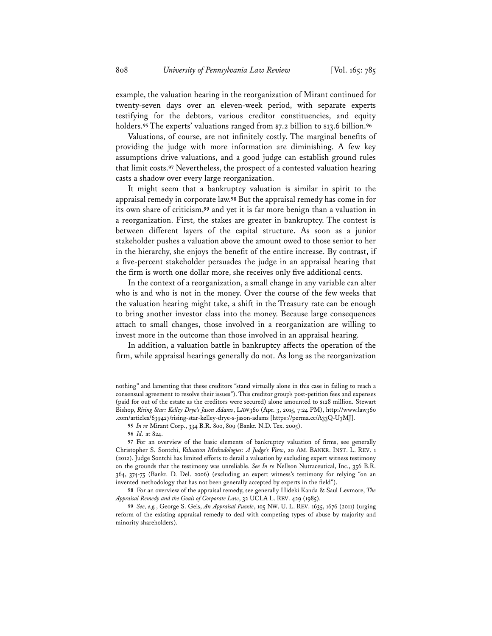example, the valuation hearing in the reorganization of Mirant continued for twenty-seven days over an eleven-week period, with separate experts testifying for the debtors, various creditor constituencies, and equity holders.**<sup>95</sup>** The experts' valuations ranged from \$7.2 billion to \$13.6 billion.**<sup>96</sup>**

Valuations, of course, are not infinitely costly. The marginal benefits of providing the judge with more information are diminishing. A few key assumptions drive valuations, and a good judge can establish ground rules that limit costs.**<sup>97</sup>** Nevertheless, the prospect of a contested valuation hearing casts a shadow over every large reorganization.

It might seem that a bankruptcy valuation is similar in spirit to the appraisal remedy in corporate law.**<sup>98</sup>** But the appraisal remedy has come in for its own share of criticism,**<sup>99</sup>** and yet it is far more benign than a valuation in a reorganization. First, the stakes are greater in bankruptcy. The contest is between different layers of the capital structure. As soon as a junior stakeholder pushes a valuation above the amount owed to those senior to her in the hierarchy, she enjoys the benefit of the entire increase. By contrast, if a five-percent stakeholder persuades the judge in an appraisal hearing that the firm is worth one dollar more, she receives only five additional cents.

In the context of a reorganization, a small change in any variable can alter who is and who is not in the money. Over the course of the few weeks that the valuation hearing might take, a shift in the Treasury rate can be enough to bring another investor class into the money. Because large consequences attach to small changes, those involved in a reorganization are willing to invest more in the outcome than those involved in an appraisal hearing.

In addition, a valuation battle in bankruptcy affects the operation of the firm, while appraisal hearings generally do not. As long as the reorganization

**96** *Id.* at 824.

nothing" and lamenting that these creditors "stand virtually alone in this case in failing to reach a consensual agreement to resolve their issues"). This creditor group's post-petition fees and expenses (paid for out of the estate as the creditors were secured) alone amounted to \$128 million. Stewart Bishop, *Rising Star: Kelley Drye's Jason Adams*, LAW360 (Apr. 3, 2015, 7:24 PM), http://www.law360 .com/articles/639427/rising-star-kelley-drye-s-jason-adams [https://perma.cc/A33Q-U3MJ].

**<sup>95</sup>** *In re* Mirant Corp., 334 B.R. 800, 809 (Bankr. N.D. Tex. 2005).

**<sup>97</sup>** For an overview of the basic elements of bankruptcy valuation of firms, see generally Christopher S. Sontchi, *Valuation Methodologies: A Judge's View*, 20 AM. BANKR. INST. L. REV. 1 (2012). Judge Sontchi has limited efforts to derail a valuation by excluding expert witness testimony on the grounds that the testimony was unreliable. *See In re* Nellson Nutraceutical, Inc., 356 B.R. 364, 374-75 (Bankr. D. Del. 2006) (excluding an expert witness's testimony for relying "on an invented methodology that has not been generally accepted by experts in the field").

**<sup>98</sup>** For an overview of the appraisal remedy, see generally Hideki Kanda & Saul Levmore, *The Appraisal Remedy and the Goals of Corporate Law*, 32 UCLA L. REV. 429 (1985).

**<sup>99</sup>** *See, e.g.*, George S. Geis, *An Appraisal Puzzle*, 105 NW. U. L. REV. 1635, 1676 (2011) (urging reform of the existing appraisal remedy to deal with competing types of abuse by majority and minority shareholders).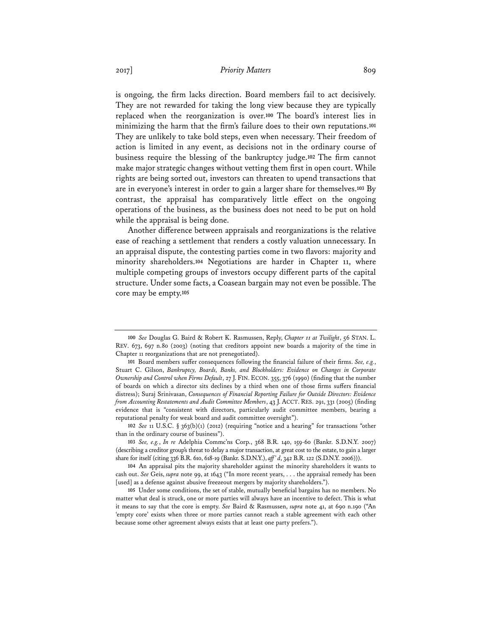is ongoing, the firm lacks direction. Board members fail to act decisively. They are not rewarded for taking the long view because they are typically replaced when the reorganization is over.**<sup>100</sup>** The board's interest lies in minimizing the harm that the firm's failure does to their own reputations.**<sup>101</sup>** They are unlikely to take bold steps, even when necessary. Their freedom of action is limited in any event, as decisions not in the ordinary course of business require the blessing of the bankruptcy judge.**<sup>102</sup>** The firm cannot make major strategic changes without vetting them first in open court. While rights are being sorted out, investors can threaten to upend transactions that are in everyone's interest in order to gain a larger share for themselves.**<sup>103</sup>** By contrast, the appraisal has comparatively little effect on the ongoing operations of the business, as the business does not need to be put on hold while the appraisal is being done.

Another difference between appraisals and reorganizations is the relative ease of reaching a settlement that renders a costly valuation unnecessary. In an appraisal dispute, the contesting parties come in two flavors: majority and minority shareholders.**<sup>104</sup>** Negotiations are harder in Chapter 11, where multiple competing groups of investors occupy different parts of the capital structure. Under some facts, a Coasean bargain may not even be possible. The core may be empty.**<sup>105</sup>**

**102** *See* 11 U.S.C. § 363(b)(1) (2012) (requiring "notice and a hearing" for transactions "other than in the ordinary course of business").

**<sup>100</sup>** *See* Douglas G. Baird & Robert K. Rasmussen, Reply, *Chapter 11 at Twilight*, 56 STAN. L. REV. 673, 697 n.80 (2003) (noting that creditors appoint new boards a majority of the time in Chapter 11 reorganizations that are not prenegotiated).

**<sup>101</sup>** Board members suffer consequences following the financial failure of their firms. *See, e.g.*, Stuart C. Gilson, *Bankruptcy, Boards, Banks, and Blockholders: Evidence on Changes in Corporate Ownership and Control when Firms Default*, 27 J. FIN. ECON. 355, 376 (1990) (finding that the number of boards on which a director sits declines by a third when one of those firms suffers financial distress); Suraj Srinivasan, *Consequences of Financial Reporting Failure for Outside Directors: Evidence from Accounting Restatements and Audit Committee Members*, 43 J. ACCT. RES. 291, 331 (2005) (finding evidence that is "consistent with directors, particularly audit committee members, bearing a reputational penalty for weak board and audit committee oversight").

**<sup>103</sup>** *See, e.g.*, *In re* Adelphia Commc'ns Corp., 368 B.R. 140, 159-60 (Bankr. S.D.N.Y. 2007) (describing a creditor group's threat to delay a major transaction, at great cost to the estate, to gain a larger share for itself (citing 336 B.R. 610, 618-19 (Bankr. S.D.N.Y.), *aff' d*, 342 B.R. 122 (S.D.N.Y. 2006))).

**<sup>104</sup>** An appraisal pits the majority shareholder against the minority shareholders it wants to cash out. *See* Geis, *supra* note 99, at 1643 ("In more recent years, . . . the appraisal remedy has been [used] as a defense against abusive freezeout mergers by majority shareholders.").

**<sup>105</sup>** Under some conditions, the set of stable, mutually beneficial bargains has no members. No matter what deal is struck, one or more parties will always have an incentive to defect. This is what it means to say that the core is empty. *See* Baird & Rasmussen, *supra* note 41, at 690 n.190 ("An 'empty core' exists when three or more parties cannot reach a stable agreement with each other because some other agreement always exists that at least one party prefers.").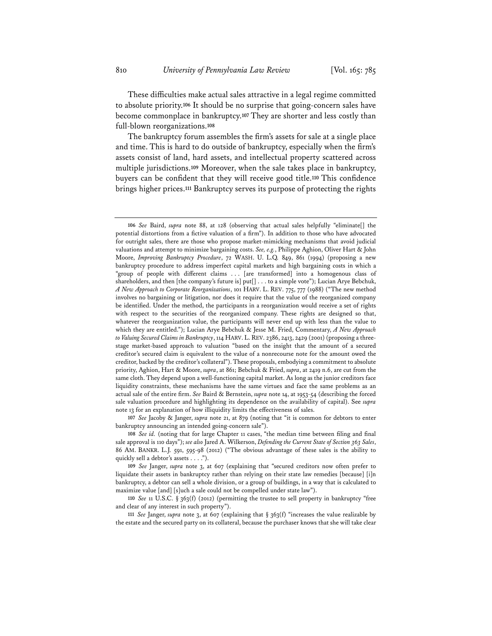These difficulties make actual sales attractive in a legal regime committed to absolute priority.**<sup>106</sup>** It should be no surprise that going-concern sales have become commonplace in bankruptcy.**<sup>107</sup>** They are shorter and less costly than full-blown reorganizations.**<sup>108</sup>**

The bankruptcy forum assembles the firm's assets for sale at a single place and time. This is hard to do outside of bankruptcy, especially when the firm's assets consist of land, hard assets, and intellectual property scattered across multiple jurisdictions.**<sup>109</sup>** Moreover, when the sale takes place in bankruptcy, buyers can be confident that they will receive good title.**<sup>110</sup>** This confidence brings higher prices.**<sup>111</sup>** Bankruptcy serves its purpose of protecting the rights

**107** *See* Jacoby & Janger, *supra* note 21, at 879 (noting that "it is common for debtors to enter bankruptcy announcing an intended going-concern sale").

**108** *See id.* (noting that for large Chapter 11 cases, "the median time between filing and final sale approval is 110 days"); *see also* Jared A. Wilkerson, *Defending the Current State of Section 363 Sales*, 86 AM. BANKR. L.J. 591, 595-98 (2012) ("The obvious advantage of these sales is the ability to quickly sell a debtor's assets . . . .").

**109** *See* Janger, *supra* note 3, at 607 (explaining that "secured creditors now often prefer to liquidate their assets in bankruptcy rather than relying on their state law remedies [because] [i]n bankruptcy, a debtor can sell a whole division, or a group of buildings, in a way that is calculated to maximize value [and] [s]uch a sale could not be compelled under state law").

**110** *See* 11 U.S.C. § 363(f) (2012) (permitting the trustee to sell property in bankruptcy "free and clear of any interest in such property").

**111** *See* Janger, *supra* note 3, at 607 (explaining that § 363(f) "increases the value realizable by the estate and the secured party on its collateral, because the purchaser knows that she will take clear

**<sup>106</sup>** *See* Baird, *supra* note 88, at 128 (observing that actual sales helpfully "eliminate[] the potential distortions from a fictive valuation of a firm"). In addition to those who have advocated for outright sales, there are those who propose market-mimicking mechanisms that avoid judicial valuations and attempt to minimize bargaining costs. *See, e.g.*, Philippe Aghion, Oliver Hart & John Moore, *Improving Bankruptcy Procedure*, 72 WASH. U. L.Q. 849, 861 (1994) (proposing a new bankruptcy procedure to address imperfect capital markets and high bargaining costs in which a "group of people with different claims . . . [are transformed] into a homogenous class of shareholders, and then [the company's future is] put[] . . . to a simple vote"); Lucian Arye Bebchuk, *A New Approach to Corporate Reorganizations*, 101 HARV. L. REV. 775, 777 (1988) ("The new method involves no bargaining or litigation, nor does it require that the value of the reorganized company be identified. Under the method, the participants in a reorganization would receive a set of rights with respect to the securities of the reorganized company. These rights are designed so that, whatever the reorganization value, the participants will never end up with less than the value to which they are entitled."); Lucian Arye Bebchuk & Jesse M. Fried, Commentary, *A New Approach to Valuing Secured Claims in Bankruptcy*, 114 HARV. L.REV. 2386, 2413, 2429 (2001) (proposing a threestage market-based approach to valuation "based on the insight that the amount of a secured creditor's secured claim is equivalent to the value of a nonrecourse note for the amount owed the creditor, backed by the creditor's collateral"). These proposals, embodying a commitment to absolute priority, Aghion, Hart & Moore, *supra*, at 861; Bebchuk & Fried, *supra*, at 2419 n.6, are cut from the same cloth. They depend upon a well-functioning capital market. As long as the junior creditors face liquidity constraints, these mechanisms have the same virtues and face the same problems as an actual sale of the entire firm. *See* Baird & Bernstein, *supra* note 14, at 1953-54 (describing the forced sale valuation procedure and highlighting its dependence on the availability of capital). See *supra* note 13 for an explanation of how illiquidity limits the effectiveness of sales.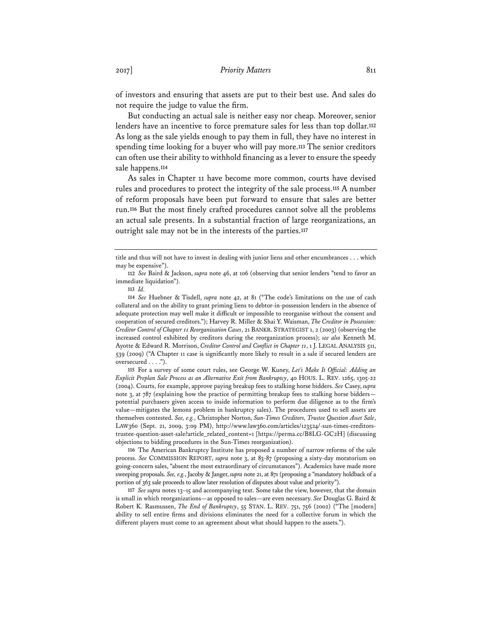of investors and ensuring that assets are put to their best use. And sales do not require the judge to value the firm.

But conducting an actual sale is neither easy nor cheap. Moreover, senior lenders have an incentive to force premature sales for less than top dollar.**<sup>112</sup>** As long as the sale yields enough to pay them in full, they have no interest in spending time looking for a buyer who will pay more.**<sup>113</sup>** The senior creditors can often use their ability to withhold financing as a lever to ensure the speedy sale happens.**<sup>114</sup>**

As sales in Chapter 11 have become more common, courts have devised rules and procedures to protect the integrity of the sale process.**<sup>115</sup>** A number of reform proposals have been put forward to ensure that sales are better run.**<sup>116</sup>** But the most finely crafted procedures cannot solve all the problems an actual sale presents. In a substantial fraction of large reorganizations, an outright sale may not be in the interests of the parties.**<sup>117</sup>**

**115** For a survey of some court rules, see George W. Kuney, *Let's Make It Official: Adding an Explicit Preplan Sale Process as an Alternative Exit from Bankruptcy*, 40 HOUS. L. REV. 1265, 1305-22 (2004). Courts, for example, approve paying breakup fees to stalking horse bidders. *See* Casey, *supra* note 3, at 787 (explaining how the practice of permitting breakup fees to stalking horse bidders potential purchasers given access to inside information to perform due diligence as to the firm's value—mitigates the lemons problem in bankruptcy sales). The procedures used to sell assets are themselves contested. *See, e.g.*, Christopher Norton, *Sun-Times Creditors, Trustee Question Asset Sale*, LAW360 (Sept. 21, 2009, 3:09 PM), http://www.law360.com/articles/123524/-sun-times-creditorstrustee-question-asset-sale?article\_related\_content=1 [https://perma.cc/B8LG-GC2H] (discussing objections to bidding procedures in the Sun-Times reorganization).

**116** The American Bankruptcy Institute has proposed a number of narrow reforms of the sale process. *See* COMMISSION REPORT, *supra* note 3, at 83-87 (proposing a sixty-day moratorium on going-concern sales, "absent the most extraordinary of circumstances"). Academics have made more sweeping proposals. *See, e.g.*, Jacoby & Janger, *supra* note 21, at 871 (proposing a "mandatory holdback of a portion of 363 sale proceeds to allow later resolution of disputes about value and priority").

**117** *See supra* notes 13–15 and accompanying text. Some take the view, however, that the domain is small in which reorganizations—as opposed to sales—are even necessary. *See* Douglas G. Baird & Robert K. Rasmussen, *The End of Bankruptcy*, 55 STAN. L. REV. 751, 756 (2002) ("The [modern] ability to sell entire firms and divisions eliminates the need for a collective forum in which the different players must come to an agreement about what should happen to the assets.").

title and thus will not have to invest in dealing with junior liens and other encumbrances . . . which may be expensive").

**<sup>112</sup>** *See* Baird & Jackson, *supra* note 46, at 106 (observing that senior lenders "tend to favor an immediate liquidation").

**<sup>113</sup>** *Id.* 

**<sup>114</sup>** *See* Huebner & Tisdell, *supra* note 42, at 81 ("The code's limitations on the use of cash collateral and on the ability to grant priming liens to debtor-in-possession lenders in the absence of adequate protection may well make it difficult or impossible to reorganise without the consent and cooperation of secured creditors."); Harvey R. Miller & Shai Y. Waisman, *The Creditor in Possession: Creditor Control of Chapter 11 Reorganization Cases*, 21 BANKR. STRATEGIST 1, 2 (2003) (observing the increased control exhibited by creditors during the reorganization process); *see also* Kenneth M. Ayotte & Edward R. Morrison, *Creditor Control and Conflict in Chapter 11*, 1 J. LEGAL ANALYSIS 511, 539 (2009) ("A Chapter 11 case is significantly more likely to result in a sale if secured lenders are oversecured . . . .").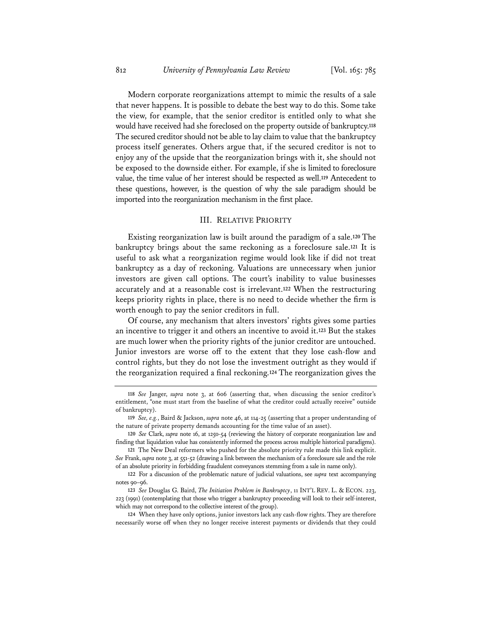Modern corporate reorganizations attempt to mimic the results of a sale that never happens. It is possible to debate the best way to do this. Some take the view, for example, that the senior creditor is entitled only to what she would have received had she foreclosed on the property outside of bankruptcy.**<sup>118</sup>** The secured creditor should not be able to lay claim to value that the bankruptcy process itself generates. Others argue that, if the secured creditor is not to enjoy any of the upside that the reorganization brings with it, she should not be exposed to the downside either. For example, if she is limited to foreclosure value, the time value of her interest should be respected as well.**<sup>119</sup>** Antecedent to these questions, however, is the question of why the sale paradigm should be imported into the reorganization mechanism in the first place.

#### III. RELATIVE PRIORITY

Existing reorganization law is built around the paradigm of a sale.**<sup>120</sup>** The bankruptcy brings about the same reckoning as a foreclosure sale.**<sup>121</sup>** It is useful to ask what a reorganization regime would look like if did not treat bankruptcy as a day of reckoning. Valuations are unnecessary when junior investors are given call options. The court's inability to value businesses accurately and at a reasonable cost is irrelevant.**<sup>122</sup>** When the restructuring keeps priority rights in place, there is no need to decide whether the firm is worth enough to pay the senior creditors in full.

Of course, any mechanism that alters investors' rights gives some parties an incentive to trigger it and others an incentive to avoid it.**<sup>123</sup>** But the stakes are much lower when the priority rights of the junior creditor are untouched. Junior investors are worse off to the extent that they lose cash-flow and control rights, but they do not lose the investment outright as they would if the reorganization required a final reckoning.**<sup>124</sup>** The reorganization gives the

**<sup>118</sup>** *See* Janger, *supra* note 3, at 606 (asserting that, when discussing the senior creditor's entitlement, "one must start from the baseline of what the creditor could actually receive" outside of bankruptcy).

**<sup>119</sup>** *See, e.g.*, Baird & Jackson, *supra* note 46, at 114-25 (asserting that a proper understanding of the nature of private property demands accounting for the time value of an asset).

**<sup>120</sup>** *See* Clark, *supra* note 16, at 1250-54 (reviewing the history of corporate reorganization law and finding that liquidation value has consistently informed the process across multiple historical paradigms).

**<sup>121</sup>** The New Deal reformers who pushed for the absolute priority rule made this link explicit. *See* Frank, *supra* note 3, at 551-52 (drawing a link between the mechanism of a foreclosure sale and the role of an absolute priority in forbidding fraudulent conveyances stemming from a sale in name only).

**<sup>122</sup>** For a discussion of the problematic nature of judicial valuations, see *supra* text accompanying notes 90–96.

**<sup>123</sup>** *See* Douglas G. Baird, *The Initiation Problem in Bankruptcy*, 11 INT'L REV. L. & ECON. 223, 223 (1991) (contemplating that those who trigger a bankruptcy proceeding will look to their self-interest, which may not correspond to the collective interest of the group).

**<sup>124</sup>** When they have only options, junior investors lack any cash-flow rights. They are therefore necessarily worse off when they no longer receive interest payments or dividends that they could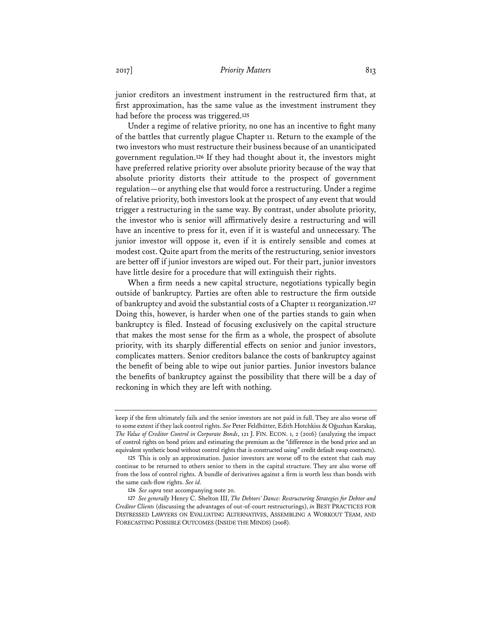junior creditors an investment instrument in the restructured firm that, at first approximation, has the same value as the investment instrument they had before the process was triggered.**<sup>125</sup>**

Under a regime of relative priority, no one has an incentive to fight many of the battles that currently plague Chapter 11. Return to the example of the two investors who must restructure their business because of an unanticipated government regulation.**<sup>126</sup>** If they had thought about it, the investors might have preferred relative priority over absolute priority because of the way that absolute priority distorts their attitude to the prospect of government regulation—or anything else that would force a restructuring. Under a regime of relative priority, both investors look at the prospect of any event that would trigger a restructuring in the same way. By contrast, under absolute priority, the investor who is senior will affirmatively desire a restructuring and will have an incentive to press for it, even if it is wasteful and unnecessary. The junior investor will oppose it, even if it is entirely sensible and comes at modest cost. Quite apart from the merits of the restructuring, senior investors are better off if junior investors are wiped out. For their part, junior investors have little desire for a procedure that will extinguish their rights.

When a firm needs a new capital structure, negotiations typically begin outside of bankruptcy. Parties are often able to restructure the firm outside of bankruptcy and avoid the substantial costs of a Chapter 11 reorganization.**<sup>127</sup>** Doing this, however, is harder when one of the parties stands to gain when bankruptcy is filed. Instead of focusing exclusively on the capital structure that makes the most sense for the firm as a whole, the prospect of absolute priority, with its sharply differential effects on senior and junior investors, complicates matters. Senior creditors balance the costs of bankruptcy against the benefit of being able to wipe out junior parties. Junior investors balance the benefits of bankruptcy against the possibility that there will be a day of reckoning in which they are left with nothing.

keep if the firm ultimately fails and the senior investors are not paid in full. They are also worse off to some extent if they lack control rights. *See* Peter Feldhütter, Edith Hotchkiss & Oğuzhan Karakaş, *The Value of Creditor Control in Corporate Bonds*, 121 J. FIN. ECON. 1, 2 (2016) (analyzing the impact of control rights on bond prices and estimating the premium as the "difference in the bond price and an equivalent synthetic bond without control rights that is constructed using" credit default swap contracts).

**<sup>125</sup>** This is only an approximation. Junior investors are worse off to the extent that cash may continue to be returned to others senior to them in the capital structure. They are also worse off from the loss of control rights. A bundle of derivatives against a firm is worth less than bonds with the same cash-flow rights. *See id.* 

**<sup>126</sup>** *See supra* text accompanying note 20.

**<sup>127</sup>** *See generally* Henry C. Shelton III, *The Debtors' Dance: Restructuring Strategies for Debtor and Creditor Clients* (discussing the advantages of out-of-court restructurings), *in* BEST PRACTICES FOR DISTRESSED LAWYERS ON EVALUATING ALTERNATIVES, ASSEMBLING A WORKOUT TEAM, AND FORECASTING POSSIBLE OUTCOMES (INSIDE THE MINDS) (2008).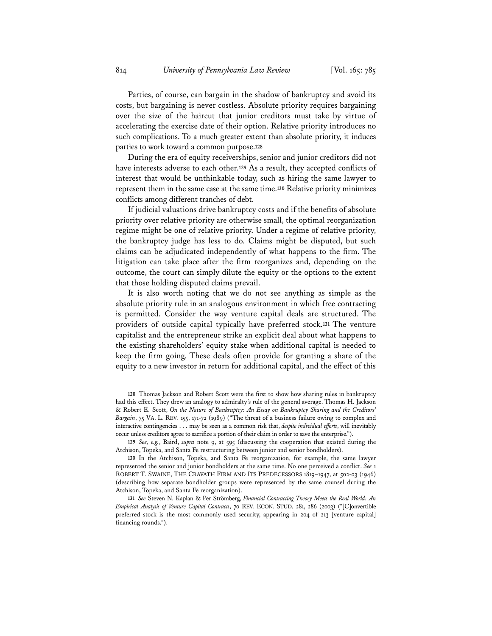Parties, of course, can bargain in the shadow of bankruptcy and avoid its costs, but bargaining is never costless. Absolute priority requires bargaining over the size of the haircut that junior creditors must take by virtue of accelerating the exercise date of their option. Relative priority introduces no such complications. To a much greater extent than absolute priority, it induces parties to work toward a common purpose.**<sup>128</sup>**

During the era of equity receiverships, senior and junior creditors did not have interests adverse to each other.**<sup>129</sup>** As a result, they accepted conflicts of interest that would be unthinkable today, such as hiring the same lawyer to represent them in the same case at the same time.**<sup>130</sup>** Relative priority minimizes conflicts among different tranches of debt.

If judicial valuations drive bankruptcy costs and if the benefits of absolute priority over relative priority are otherwise small, the optimal reorganization regime might be one of relative priority. Under a regime of relative priority, the bankruptcy judge has less to do. Claims might be disputed, but such claims can be adjudicated independently of what happens to the firm. The litigation can take place after the firm reorganizes and, depending on the outcome, the court can simply dilute the equity or the options to the extent that those holding disputed claims prevail.

It is also worth noting that we do not see anything as simple as the absolute priority rule in an analogous environment in which free contracting is permitted. Consider the way venture capital deals are structured. The providers of outside capital typically have preferred stock.**<sup>131</sup>** The venture capitalist and the entrepreneur strike an explicit deal about what happens to the existing shareholders' equity stake when additional capital is needed to keep the firm going. These deals often provide for granting a share of the equity to a new investor in return for additional capital, and the effect of this

**<sup>128</sup>** Thomas Jackson and Robert Scott were the first to show how sharing rules in bankruptcy had this effect. They drew an analogy to admiralty's rule of the general average. Thomas H. Jackson & Robert E. Scott, *On the Nature of Bankruptcy: An Essay on Bankruptcy Sharing and the Creditors' Bargain*, 75 VA. L. REV. 155, 171-72 (1989) ("The threat of a business failure owing to complex and interactive contingencies . . . may be seen as a common risk that, *despite individual efforts*, will inevitably occur unless creditors agree to sacrifice a portion of their claim in order to save the enterprise.").

**<sup>129</sup>** *See, e.g.*, Baird, *supra* note 9, at 595 (discussing the cooperation that existed during the Atchison, Topeka, and Santa Fe restructuring between junior and senior bondholders).

**<sup>130</sup>** In the Atchison, Topeka, and Santa Fe reorganization, for example, the same lawyer represented the senior and junior bondholders at the same time. No one perceived a conflict. *See* 1 ROBERT T. SWAINE, THE CRAVATH FIRM AND ITS PREDECESSORS 1819–1947, at 502-03 (1946) (describing how separate bondholder groups were represented by the same counsel during the Atchison, Topeka, and Santa Fe reorganization).

**<sup>131</sup>** *See* Steven N. Kaplan & Per Strömberg, *Financial Contracting Theory Meets the Real World: An Empirical Analysis of Venture Capital Contracts*, 70 REV. ECON. STUD. 281, 286 (2003) ("[C]onvertible preferred stock is the most commonly used security, appearing in 204 of 213 [venture capital] financing rounds.").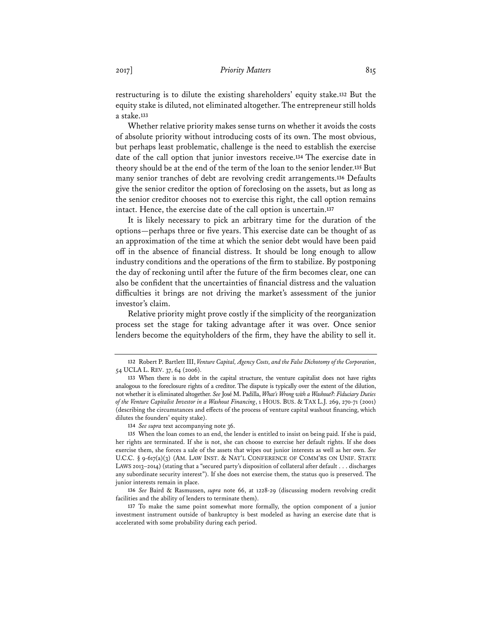restructuring is to dilute the existing shareholders' equity stake.**<sup>132</sup>** But the equity stake is diluted, not eliminated altogether. The entrepreneur still holds a stake.**<sup>133</sup>**

Whether relative priority makes sense turns on whether it avoids the costs of absolute priority without introducing costs of its own. The most obvious, but perhaps least problematic, challenge is the need to establish the exercise date of the call option that junior investors receive.**<sup>134</sup>** The exercise date in theory should be at the end of the term of the loan to the senior lender.**<sup>135</sup>** But many senior tranches of debt are revolving credit arrangements.**<sup>136</sup>** Defaults give the senior creditor the option of foreclosing on the assets, but as long as the senior creditor chooses not to exercise this right, the call option remains intact. Hence, the exercise date of the call option is uncertain.**<sup>137</sup>**

It is likely necessary to pick an arbitrary time for the duration of the options—perhaps three or five years. This exercise date can be thought of as an approximation of the time at which the senior debt would have been paid off in the absence of financial distress. It should be long enough to allow industry conditions and the operations of the firm to stabilize. By postponing the day of reckoning until after the future of the firm becomes clear, one can also be confident that the uncertainties of financial distress and the valuation difficulties it brings are not driving the market's assessment of the junior investor's claim.

Relative priority might prove costly if the simplicity of the reorganization process set the stage for taking advantage after it was over. Once senior lenders become the equityholders of the firm, they have the ability to sell it.

**<sup>132</sup>** Robert P. Bartlett III, *Venture Capital, Agency Costs, and the False Dichotomy of the Corporation*, 54 UCLA L. REV. 37, 64 (2006).

**<sup>133</sup>** When there is no debt in the capital structure, the venture capitalist does not have rights analogous to the foreclosure rights of a creditor. The dispute is typically over the extent of the dilution, not whether it is eliminated altogether. *See* José M. Padilla, *What's Wrong with a Washout?: Fiduciary Duties of the Venture Capitalist Investor in a Washout Financing*, 1 HOUS. BUS. & TAX L.J. 269, 270-71 (2001) (describing the circumstances and effects of the process of venture capital washout financing, which dilutes the founders' equity stake).

**<sup>134</sup>** *See supra* text accompanying note 36.

**<sup>135</sup>** When the loan comes to an end, the lender is entitled to insist on being paid. If she is paid, her rights are terminated. If she is not, she can choose to exercise her default rights. If she does exercise them, she forces a sale of the assets that wipes out junior interests as well as her own. *See* U.C.C. § 9-617(a)(3) (AM. LAW INST. & NAT'L CONFERENCE OF COMM'RS ON UNIF. STATE LAWS 2013–2014) (stating that a "secured party's disposition of collateral after default . . . discharges any subordinate security interest"). If she does not exercise them, the status quo is preserved. The junior interests remain in place.

**<sup>136</sup>** *See* Baird & Rasmussen, *supra* note 66, at 1228-29 (discussing modern revolving credit facilities and the ability of lenders to terminate them).

**<sup>137</sup>** To make the same point somewhat more formally, the option component of a junior investment instrument outside of bankruptcy is best modeled as having an exercise date that is accelerated with some probability during each period.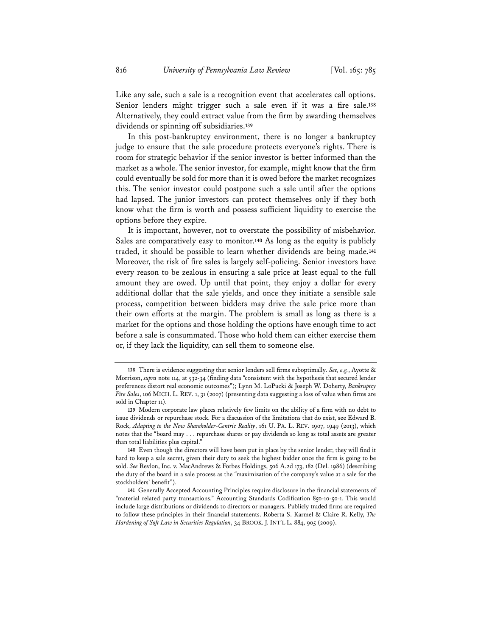Like any sale, such a sale is a recognition event that accelerates call options. Senior lenders might trigger such a sale even if it was a fire sale.**<sup>138</sup>** Alternatively, they could extract value from the firm by awarding themselves dividends or spinning off subsidiaries.**<sup>139</sup>**

In this post-bankruptcy environment, there is no longer a bankruptcy judge to ensure that the sale procedure protects everyone's rights. There is room for strategic behavior if the senior investor is better informed than the market as a whole. The senior investor, for example, might know that the firm could eventually be sold for more than it is owed before the market recognizes this. The senior investor could postpone such a sale until after the options had lapsed. The junior investors can protect themselves only if they both know what the firm is worth and possess sufficient liquidity to exercise the options before they expire.

It is important, however, not to overstate the possibility of misbehavior. Sales are comparatively easy to monitor.**<sup>140</sup>** As long as the equity is publicly traded, it should be possible to learn whether dividends are being made.**<sup>141</sup>** Moreover, the risk of fire sales is largely self-policing. Senior investors have every reason to be zealous in ensuring a sale price at least equal to the full amount they are owed. Up until that point, they enjoy a dollar for every additional dollar that the sale yields, and once they initiate a sensible sale process, competition between bidders may drive the sale price more than their own efforts at the margin. The problem is small as long as there is a market for the options and those holding the options have enough time to act before a sale is consummated. Those who hold them can either exercise them or, if they lack the liquidity, can sell them to someone else.

**<sup>138</sup>** There is evidence suggesting that senior lenders sell firms suboptimally. *See, e.g.*, Ayotte & Morrison, *supra* note 114, at 532-34 (finding data "consistent with the hypothesis that secured lender preferences distort real economic outcomes"); Lynn M. LoPucki & Joseph W. Doherty, *Bankruptcy Fire Sales*, 106 MICH. L. REV. 1, 31 (2007) (presenting data suggesting a loss of value when firms are sold in Chapter 11).

**<sup>139</sup>** Modern corporate law places relatively few limits on the ability of a firm with no debt to issue dividends or repurchase stock. For a discussion of the limitations that do exist, see Edward B. Rock, *Adapting to the New Shareholder-Centric Reality*, 161 U. PA. L. REV. 1907, 1949 (2013), which notes that the "board may . . . repurchase shares or pay dividends so long as total assets are greater than total liabilities plus capital."

**<sup>140</sup>** Even though the directors will have been put in place by the senior lender, they will find it hard to keep a sale secret, given their duty to seek the highest bidder once the firm is going to be sold. *See* Revlon, Inc. v. MacAndrews & Forbes Holdings, 506 A.2d 173, 182 (Del. 1986) (describing the duty of the board in a sale process as the "maximization of the company's value at a sale for the stockholders' benefit").

**<sup>141</sup>** Generally Accepted Accounting Principles require disclosure in the financial statements of "material related party transactions." Accounting Standards Codification 850-10-50-1. This would include large distributions or dividends to directors or managers. Publicly traded firms are required to follow these principles in their financial statements. Roberta S. Karmel & Claire R. Kelly, *The Hardening of Soft Law in Securities Regulation*, 34 BROOK. J. INT'L L. 884, 905 (2009).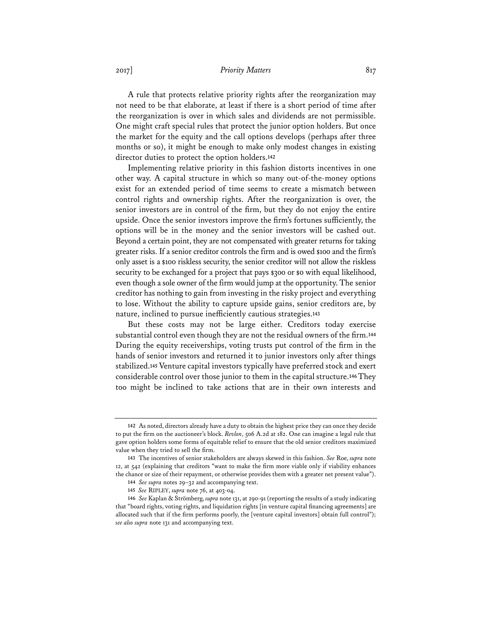2017] *Priority Matters* 817

A rule that protects relative priority rights after the reorganization may not need to be that elaborate, at least if there is a short period of time after the reorganization is over in which sales and dividends are not permissible. One might craft special rules that protect the junior option holders. But once the market for the equity and the call options develops (perhaps after three months or so), it might be enough to make only modest changes in existing director duties to protect the option holders.**<sup>142</sup>**

Implementing relative priority in this fashion distorts incentives in one other way. A capital structure in which so many out-of-the-money options exist for an extended period of time seems to create a mismatch between control rights and ownership rights. After the reorganization is over, the senior investors are in control of the firm, but they do not enjoy the entire upside. Once the senior investors improve the firm's fortunes sufficiently, the options will be in the money and the senior investors will be cashed out. Beyond a certain point, they are not compensated with greater returns for taking greater risks. If a senior creditor controls the firm and is owed \$100 and the firm's only asset is a \$100 riskless security, the senior creditor will not allow the riskless security to be exchanged for a project that pays \$300 or \$0 with equal likelihood, even though a sole owner of the firm would jump at the opportunity. The senior creditor has nothing to gain from investing in the risky project and everything to lose. Without the ability to capture upside gains, senior creditors are, by nature, inclined to pursue inefficiently cautious strategies.**<sup>143</sup>**

But these costs may not be large either. Creditors today exercise substantial control even though they are not the residual owners of the firm.**<sup>144</sup>** During the equity receiverships, voting trusts put control of the firm in the hands of senior investors and returned it to junior investors only after things stabilized.**<sup>145</sup>** Venture capital investors typically have preferred stock and exert considerable control over those junior to them in the capital structure.**<sup>146</sup>** They too might be inclined to take actions that are in their own interests and

**<sup>142</sup>** As noted, directors already have a duty to obtain the highest price they can once they decide to put the firm on the auctioneer's block. *Revlon*, 506 A.2d at 182. One can imagine a legal rule that gave option holders some forms of equitable relief to ensure that the old senior creditors maximized value when they tried to sell the firm.

**<sup>143</sup>** The incentives of senior stakeholders are always skewed in this fashion. *See* Roe, *supra* note 12, at 542 (explaining that creditors "want to make the firm more viable only if viability enhances the chance or size of their repayment, or otherwise provides them with a greater net present value").

**<sup>144</sup>** *See supra* notes 29–32 and accompanying text.

**<sup>145</sup>** *See* RIPLEY, *supra* note 76, at 403-04.

**<sup>146</sup>** *See* Kaplan & Strömberg, *supra* note 131, at 290-91 (reporting the results of a study indicating that "board rights, voting rights, and liquidation rights [in venture capital financing agreements] are allocated such that if the firm performs poorly, the [venture capital investors] obtain full control"); *see also supra* note 131 and accompanying text.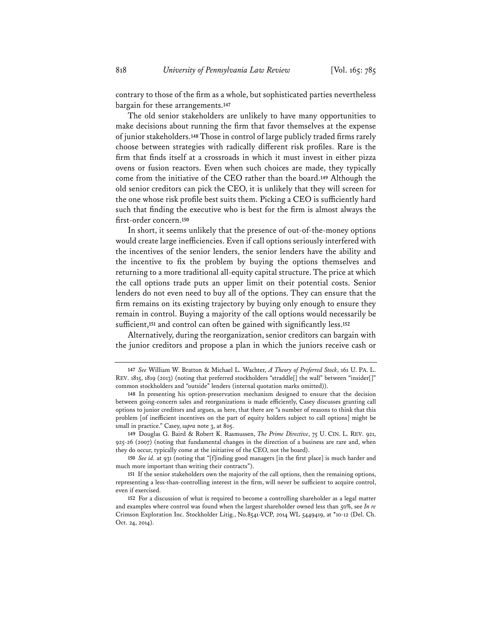contrary to those of the firm as a whole, but sophisticated parties nevertheless bargain for these arrangements.**<sup>147</sup>**

The old senior stakeholders are unlikely to have many opportunities to make decisions about running the firm that favor themselves at the expense of junior stakeholders.**<sup>148</sup>** Those in control of large publicly traded firms rarely choose between strategies with radically different risk profiles. Rare is the firm that finds itself at a crossroads in which it must invest in either pizza ovens or fusion reactors. Even when such choices are made, they typically come from the initiative of the CEO rather than the board.**<sup>149</sup>** Although the old senior creditors can pick the CEO, it is unlikely that they will screen for the one whose risk profile best suits them. Picking a CEO is sufficiently hard such that finding the executive who is best for the firm is almost always the first-order concern.**<sup>150</sup>**

In short, it seems unlikely that the presence of out-of-the-money options would create large inefficiencies. Even if call options seriously interfered with the incentives of the senior lenders, the senior lenders have the ability and the incentive to fix the problem by buying the options themselves and returning to a more traditional all-equity capital structure. The price at which the call options trade puts an upper limit on their potential costs. Senior lenders do not even need to buy all of the options. They can ensure that the firm remains on its existing trajectory by buying only enough to ensure they remain in control. Buying a majority of the call options would necessarily be sufficient,**<sup>151</sup>** and control can often be gained with significantly less.**<sup>152</sup>**

Alternatively, during the reorganization, senior creditors can bargain with the junior creditors and propose a plan in which the juniors receive cash or

**149** Douglas G. Baird & Robert K. Rasmussen, *The Prime Directive*, 75 U. CIN. L. REV. 921, 925-26 (2007) (noting that fundamental changes in the direction of a business are rare and, when they do occur, typically come at the initiative of the CEO, not the board).

**150** *See id.* at 931 (noting that "[f]inding good managers [in the first place] is much harder and much more important than writing their contracts").

**<sup>147</sup>** *See* William W. Bratton & Michael L. Wachter, *A Theory of Preferred Stock*, 161 U. PA. L. REV. 1815, 1819 (2013) (noting that preferred stockholders "straddle[] the wall" between "insider[]" common stockholders and "outside" lenders (internal quotation marks omitted)).

**<sup>148</sup>** In presenting his option-preservation mechanism designed to ensure that the decision between going-concern sales and reorganizations is made efficiently, Casey discusses granting call options to junior creditors and argues, as here, that there are "a number of reasons to think that this problem [of inefficient incentives on the part of equity holders subject to call options] might be small in practice." Casey, *supra* note 3, at 805.

**<sup>151</sup>** If the senior stakeholders own the majority of the call options, then the remaining options, representing a less-than-controlling interest in the firm, will never be sufficient to acquire control, even if exercised.

**<sup>152</sup>** For a discussion of what is required to become a controlling shareholder as a legal matter and examples where control was found when the largest shareholder owned less than 50%, see *In re* Crimson Exploration Inc. Stockholder Litig., No.8541-VCP, 2014 WL 5449419, at \*10-12 (Del. Ch. Oct. 24, 2014).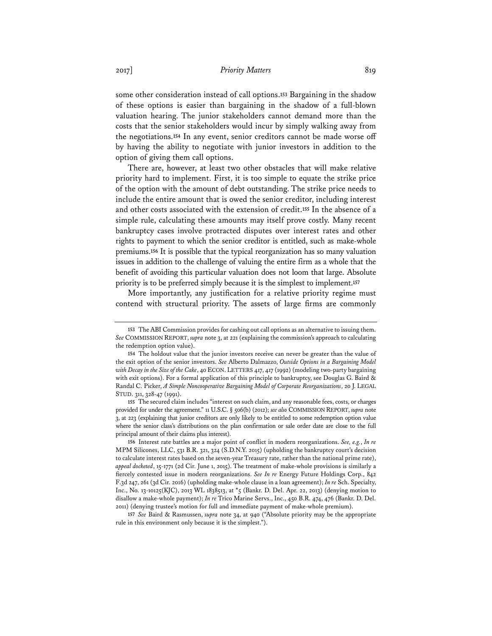some other consideration instead of call options.**<sup>153</sup>** Bargaining in the shadow of these options is easier than bargaining in the shadow of a full-blown valuation hearing. The junior stakeholders cannot demand more than the costs that the senior stakeholders would incur by simply walking away from the negotiations.**<sup>154</sup>** In any event, senior creditors cannot be made worse off by having the ability to negotiate with junior investors in addition to the option of giving them call options.

There are, however, at least two other obstacles that will make relative priority hard to implement. First, it is too simple to equate the strike price of the option with the amount of debt outstanding. The strike price needs to include the entire amount that is owed the senior creditor, including interest and other costs associated with the extension of credit.**<sup>155</sup>** In the absence of a simple rule, calculating these amounts may itself prove costly. Many recent bankruptcy cases involve protracted disputes over interest rates and other rights to payment to which the senior creditor is entitled, such as make-whole premiums.**<sup>156</sup>** It is possible that the typical reorganization has so many valuation issues in addition to the challenge of valuing the entire firm as a whole that the benefit of avoiding this particular valuation does not loom that large. Absolute priority is to be preferred simply because it is the simplest to implement.**<sup>157</sup>**

More importantly, any justification for a relative priority regime must contend with structural priority. The assets of large firms are commonly

**155** The secured claim includes "interest on such claim, and any reasonable fees, costs, or charges provided for under the agreement." 11 U.S.C. § 506(b) (2012); *see also* COMMISSION REPORT, *supra* note 3, at 223 (explaining that junior creditors are only likely to be entitled to some redemption option value where the senior class's distributions on the plan confirmation or sale order date are close to the full principal amount of their claims plus interest).

**156** Interest rate battles are a major point of conflict in modern reorganizations. *See, e.g.*, *In re* MPM Silicones, LLC, 531 B.R. 321, 324 (S.D.N.Y. 2015) (upholding the bankruptcy court's decision to calculate interest rates based on the seven-year Treasury rate, rather than the national prime rate), *appeal docketed*, 15-1771 (2d Cir. June 1, 2015). The treatment of make-whole provisions is similarly a fiercely contested issue in modern reorganizations. *See In re* Energy Future Holdings Corp., 842 F.3d 247, 261 (3d Cir. 2016) (upholding make-whole clause in a loan agreement); *In re* Sch. Specialty, Inc., No. 13-10125(KJC), 2013 WL 1838513, at \*5 (Bankr. D. Del. Apr. 22, 2013) (denying motion to disallow a make-whole payment); *In re* Trico Marine Servs., Inc., 450 B.R. 474, 476 (Bankr. D. Del. 2011) (denying trustee's motion for full and immediate payment of make-whole premium).

**157** *See* Baird & Rasmussen, *supra* note 34, at 940 ("Absolute priority may be the appropriate rule in this environment only because it is the simplest.").

**<sup>153</sup>** The ABI Commission provides for cashing out call options as an alternative to issuing them. *See* COMMISSION REPORT, *supra* note 3, at 221 (explaining the commission's approach to calculating the redemption option value).

**<sup>154</sup>** The holdout value that the junior investors receive can never be greater than the value of the exit option of the senior investors. *See* Alberto Dalmazzo, *Outside Options in a Bargaining Model with Decay in the Size of the Cake*, 40 ECON. LETTERS 417, 417 (1992) (modeling two-party bargaining with exit options). For a formal application of this principle to bankruptcy, see Douglas G. Baird & Randal C. Picker, *A Simple Noncooperative Bargaining Model of Corporate Reorganizations*, 20 J. LEGAL STUD. 311, 328-47 (1991).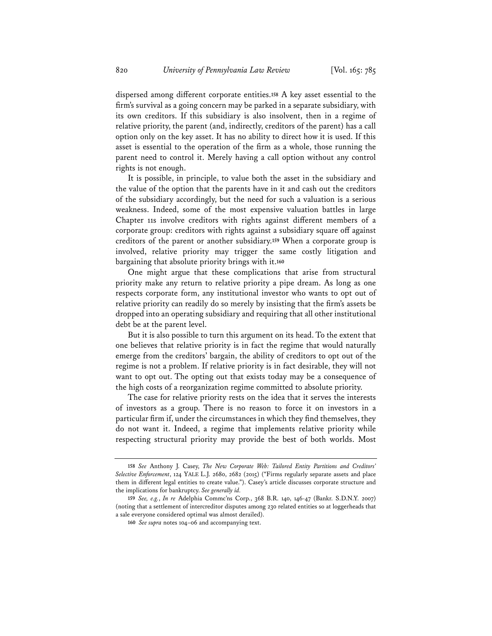dispersed among different corporate entities.**<sup>158</sup>** A key asset essential to the firm's survival as a going concern may be parked in a separate subsidiary, with its own creditors. If this subsidiary is also insolvent, then in a regime of relative priority, the parent (and, indirectly, creditors of the parent) has a call option only on the key asset. It has no ability to direct how it is used. If this asset is essential to the operation of the firm as a whole, those running the parent need to control it. Merely having a call option without any control rights is not enough.

It is possible, in principle, to value both the asset in the subsidiary and the value of the option that the parents have in it and cash out the creditors of the subsidiary accordingly, but the need for such a valuation is a serious weakness. Indeed, some of the most expensive valuation battles in large Chapter 11s involve creditors with rights against different members of a corporate group: creditors with rights against a subsidiary square off against creditors of the parent or another subsidiary.**<sup>159</sup>** When a corporate group is involved, relative priority may trigger the same costly litigation and bargaining that absolute priority brings with it.**<sup>160</sup>**

One might argue that these complications that arise from structural priority make any return to relative priority a pipe dream. As long as one respects corporate form, any institutional investor who wants to opt out of relative priority can readily do so merely by insisting that the firm's assets be dropped into an operating subsidiary and requiring that all other institutional debt be at the parent level.

But it is also possible to turn this argument on its head. To the extent that one believes that relative priority is in fact the regime that would naturally emerge from the creditors' bargain, the ability of creditors to opt out of the regime is not a problem. If relative priority is in fact desirable, they will not want to opt out. The opting out that exists today may be a consequence of the high costs of a reorganization regime committed to absolute priority.

The case for relative priority rests on the idea that it serves the interests of investors as a group. There is no reason to force it on investors in a particular firm if, under the circumstances in which they find themselves, they do not want it. Indeed, a regime that implements relative priority while respecting structural priority may provide the best of both worlds. Most

**<sup>158</sup>** *See* Anthony J. Casey, *The New Corporate Web: Tailored Entity Partitions and Creditors' Selective Enforcement*, 124 YALE L.J. 2680, 2682 (2015) ("Firms regularly separate assets and place them in different legal entities to create value."). Casey's article discusses corporate structure and the implications for bankruptcy. *See generally id.* 

**<sup>159</sup>** *See, e.g.*, *In re* Adelphia Commc'ns Corp., 368 B.R. 140, 146-47 (Bankr. S.D.N.Y. 2007) (noting that a settlement of intercreditor disputes among 230 related entities so at loggerheads that a sale everyone considered optimal was almost derailed).

**<sup>160</sup>** *See supra* notes 104–06 and accompanying text.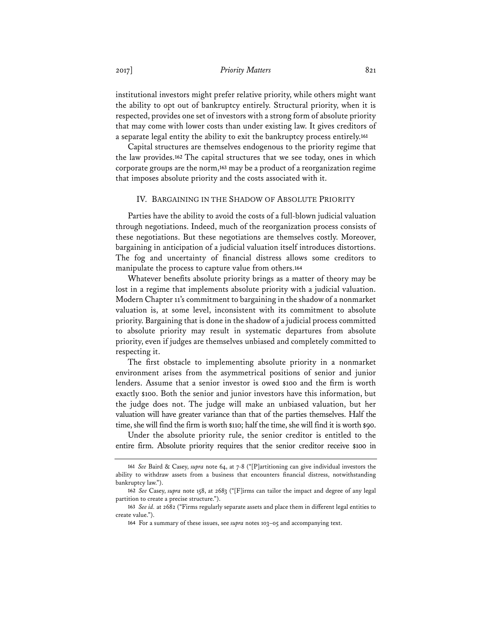#### 2017] *Priority Matters* 821

institutional investors might prefer relative priority, while others might want the ability to opt out of bankruptcy entirely. Structural priority, when it is respected, provides one set of investors with a strong form of absolute priority that may come with lower costs than under existing law. It gives creditors of a separate legal entity the ability to exit the bankruptcy process entirely.**<sup>161</sup>**

Capital structures are themselves endogenous to the priority regime that the law provides.**<sup>162</sup>** The capital structures that we see today, ones in which corporate groups are the norm,**<sup>163</sup>** may be a product of a reorganization regime that imposes absolute priority and the costs associated with it.

#### IV. BARGAINING IN THE SHADOW OF ABSOLUTE PRIORITY

Parties have the ability to avoid the costs of a full-blown judicial valuation through negotiations. Indeed, much of the reorganization process consists of these negotiations. But these negotiations are themselves costly. Moreover, bargaining in anticipation of a judicial valuation itself introduces distortions. The fog and uncertainty of financial distress allows some creditors to manipulate the process to capture value from others.**<sup>164</sup>**

Whatever benefits absolute priority brings as a matter of theory may be lost in a regime that implements absolute priority with a judicial valuation. Modern Chapter 11's commitment to bargaining in the shadow of a nonmarket valuation is, at some level, inconsistent with its commitment to absolute priority. Bargaining that is done in the shadow of a judicial process committed to absolute priority may result in systematic departures from absolute priority, even if judges are themselves unbiased and completely committed to respecting it.

The first obstacle to implementing absolute priority in a nonmarket environment arises from the asymmetrical positions of senior and junior lenders. Assume that a senior investor is owed \$100 and the firm is worth exactly \$100. Both the senior and junior investors have this information, but the judge does not. The judge will make an unbiased valuation, but her valuation will have greater variance than that of the parties themselves. Half the time, she will find the firm is worth \$110; half the time, she will find it is worth \$90.

Under the absolute priority rule, the senior creditor is entitled to the entire firm. Absolute priority requires that the senior creditor receive \$100 in

**<sup>161</sup>** *See* Baird & Casey, *supra* note 64, at 7-8 ("[P]artitioning can give individual investors the ability to withdraw assets from a business that encounters financial distress, notwithstanding bankruptcy law.").

**<sup>162</sup>** *See* Casey, *supra* note 158, at 2683 ("[F]irms can tailor the impact and degree of any legal partition to create a precise structure.").

**<sup>163</sup>** *See id.* at 2682 ("Firms regularly separate assets and place them in different legal entities to create value.").

**<sup>164</sup>** For a summary of these issues, see *supra* notes 103–05 and accompanying text.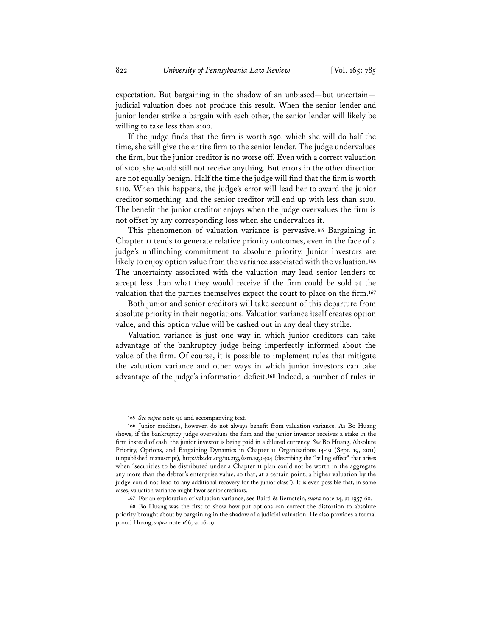expectation. But bargaining in the shadow of an unbiased—but uncertain judicial valuation does not produce this result. When the senior lender and junior lender strike a bargain with each other, the senior lender will likely be willing to take less than \$100.

If the judge finds that the firm is worth \$90, which she will do half the time, she will give the entire firm to the senior lender. The judge undervalues the firm, but the junior creditor is no worse off. Even with a correct valuation of \$100, she would still not receive anything. But errors in the other direction are not equally benign. Half the time the judge will find that the firm is worth \$110. When this happens, the judge's error will lead her to award the junior creditor something, and the senior creditor will end up with less than \$100. The benefit the junior creditor enjoys when the judge overvalues the firm is not offset by any corresponding loss when she undervalues it.

This phenomenon of valuation variance is pervasive.**<sup>165</sup>** Bargaining in Chapter 11 tends to generate relative priority outcomes, even in the face of a judge's unflinching commitment to absolute priority. Junior investors are likely to enjoy option value from the variance associated with the valuation.**<sup>166</sup>** The uncertainty associated with the valuation may lead senior lenders to accept less than what they would receive if the firm could be sold at the valuation that the parties themselves expect the court to place on the firm.**<sup>167</sup>**

Both junior and senior creditors will take account of this departure from absolute priority in their negotiations. Valuation variance itself creates option value, and this option value will be cashed out in any deal they strike.

Valuation variance is just one way in which junior creditors can take advantage of the bankruptcy judge being imperfectly informed about the value of the firm. Of course, it is possible to implement rules that mitigate the valuation variance and other ways in which junior investors can take advantage of the judge's information deficit.**<sup>168</sup>** Indeed, a number of rules in

**<sup>165</sup>** *See supra* note 90 and accompanying text.

**<sup>166</sup>** Junior creditors, however, do not always benefit from valuation variance. As Bo Huang shows, if the bankruptcy judge overvalues the firm and the junior investor receives a stake in the firm instead of cash, the junior investor is being paid in a diluted currency. *See* Bo Huang, Absolute Priority, Options, and Bargaining Dynamics in Chapter 11 Organizations 14-19 (Sept. 19, 2011) (unpublished manuscript), http://dx.doi.org/10.2139/ssrn.1930404 (describing the "ceiling effect" that arises when "securities to be distributed under a Chapter 11 plan could not be worth in the aggregate any more than the debtor's enterprise value, so that, at a certain point, a higher valuation by the judge could not lead to any additional recovery for the junior class"). It is even possible that, in some cases, valuation variance might favor senior creditors.

**<sup>167</sup>** For an exploration of valuation variance, see Baird & Bernstein, *supra* note 14, at 1957-60.

**<sup>168</sup>** Bo Huang was the first to show how put options can correct the distortion to absolute priority brought about by bargaining in the shadow of a judicial valuation. He also provides a formal proof. Huang, *supra* note 166, at 16-19.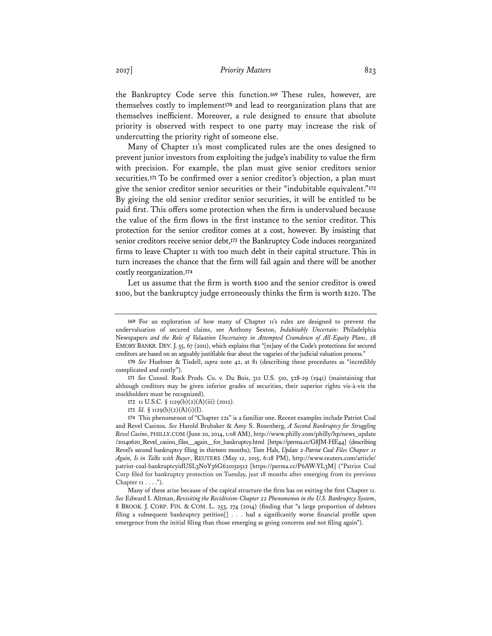the Bankruptcy Code serve this function.**<sup>169</sup>** These rules, however, are themselves costly to implement**<sup>170</sup>** and lead to reorganization plans that are themselves inefficient. Moreover, a rule designed to ensure that absolute priority is observed with respect to one party may increase the risk of undercutting the priority right of someone else.

Many of Chapter 11's most complicated rules are the ones designed to prevent junior investors from exploiting the judge's inability to value the firm with precision. For example, the plan must give senior creditors senior securities.**<sup>171</sup>** To be confirmed over a senior creditor's objection, a plan must give the senior creditor senior securities or their "indubitable equivalent."**<sup>172</sup>** By giving the old senior creditor senior securities, it will be entitled to be paid first. This offers some protection when the firm is undervalued because the value of the firm flows in the first instance to the senior creditor. This protection for the senior creditor comes at a cost, however. By insisting that senior creditors receive senior debt,**<sup>173</sup>** the Bankruptcy Code induces reorganized firms to leave Chapter 11 with too much debt in their capital structure. This in turn increases the chance that the firm will fail again and there will be another costly reorganization.**<sup>174</sup>**

Let us assume that the firm is worth \$100 and the senior creditor is owed \$100, but the bankruptcy judge erroneously thinks the firm is worth \$120. The

**174** This phenomenon of "Chapter 22s" is a familiar one. Recent examples include Patriot Coal and Revel Casinos. *See* Harold Brubaker & Amy S. Rosenberg, *A Second Bankruptcy for Struggling Revel Casino*, PHILLY.COM (June 20, 2014, 1:08 AM), http://www.philly.com/philly/hp/news\_update /20140620\_Revel\_casino\_files\_\_again\_\_for\_bankruptcy.html [https://perma.cc/G8JM-HE44] (describing Revel's second bankruptcy filing in thirteen months); Tom Hals, *Update 2-Patriot Coal Files Chapter 11 Again, Is in Talks with Buyer*, REUTERS (May 12, 2015, 6:18 PM), http://www.reuters.com/article/ patriot-coal-bankruptcyidUSL3N0Y36G620150512 [https://perma.cc/P6AW-YL3M] ("Patriot Coal Corp filed for bankruptcy protection on Tuesday, just 18 months after emerging from its previous Chapter 11 . . . .").

Many of these arise because of the capital structure the firm has on exiting the first Chapter 11. *See* Edward I. Altman, *Revisiting the Recidivism-Chapter 22 Phenomenon in the U.S. Bankruptcy System*, 8 BROOK. J. CORP. FIN. & COM. L. 253, 274 (2014) (finding that "a large proportion of debtors filing a subsequent bankruptcy petition[] . . . had a significantly worse financial profile upon emergence from the initial filing than those emerging as going concerns and not filing again").

**<sup>169</sup>** For an exploration of how many of Chapter 11's rules are designed to prevent the undervaluation of secured claims, see Anthony Sexton, *Indubitably Uncertain:* Philadelphia Newspapers *and the Role of Valuation Uncertainty in Attempted Cramdown of All-Equity Plans*, 28 EMORY BANKR. DEV. J. 55, 67 (2011), which explains that "[m]any of the Code's protections for secured creditors are based on an arguably justifiable fear about the vagaries of the judicial valuation process."

**<sup>170</sup>** *See* Huebner & Tisdell, *supra* note 42, at 81 (describing these procedures as "incredibly complicated and costly").

**<sup>171</sup>** *See* Consol. Rock Prods. Co. v. Du Bois, 312 U.S. 510, 528-29 (1941) (maintaining that although creditors may be given inferior grades of securities, their superior rights vis-à-vis the stockholders must be recognized).

**<sup>172</sup>** 11 U.S.C. § 1129(b)(2)(A)(iii) (2012).

**<sup>173</sup>** *Id.* § 1129(b)(2)(A)(i)(I).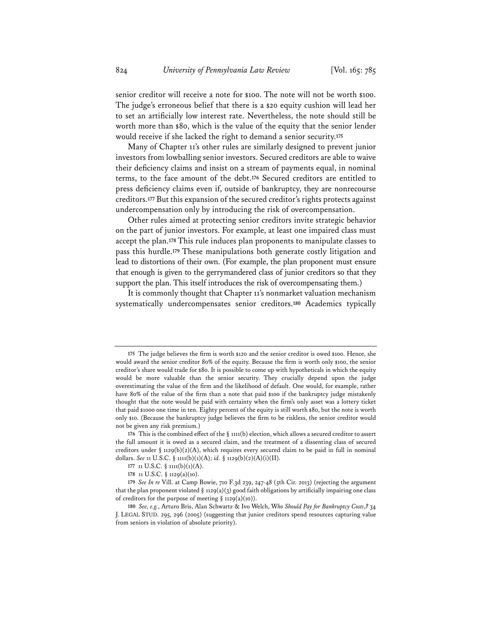senior creditor will receive a note for \$100. The note will not be worth \$100. The judge's erroneous belief that there is a \$20 equity cushion will lead her to set an artificially low interest rate. Nevertheless, the note should still be worth more than \$80, which is the value of the equity that the senior lender would receive if she lacked the right to demand a senior security.**<sup>175</sup>**

Many of Chapter 11's other rules are similarly designed to prevent junior investors from lowballing senior investors. Secured creditors are able to waive their deficiency claims and insist on a stream of payments equal, in nominal terms, to the face amount of the debt.**<sup>176</sup>** Secured creditors are entitled to press deficiency claims even if, outside of bankruptcy, they are nonrecourse creditors.**<sup>177</sup>** But this expansion of the secured creditor's rights protects against undercompensation only by introducing the risk of overcompensation.

Other rules aimed at protecting senior creditors invite strategic behavior on the part of junior investors. For example, at least one impaired class must accept the plan.**<sup>178</sup>** This rule induces plan proponents to manipulate classes to pass this hurdle.**<sup>179</sup>** These manipulations both generate costly litigation and lead to distortions of their own. (For example, the plan proponent must ensure that enough is given to the gerrymandered class of junior creditors so that they support the plan. This itself introduces the risk of overcompensating them.)

It is commonly thought that Chapter 11's nonmarket valuation mechanism systematically undercompensates senior creditors.**<sup>180</sup>** Academics typically

**<sup>175</sup>** The judge believes the firm is worth \$120 and the senior creditor is owed \$100. Hence, she would award the senior creditor 80% of the equity. Because the firm is worth only \$100, the senior creditor's share would trade for \$80. It is possible to come up with hypotheticals in which the equity would be more valuable than the senior security. They crucially depend upon the judge overestimating the value of the firm and the likelihood of default. One would, for example, rather have 80% of the value of the firm than a note that paid \$100 if the bankruptcy judge mistakenly thought that the note would be paid with certainty when the firm's only asset was a lottery ticket that paid \$1000 one time in ten. Eighty percent of the equity is still worth \$80, but the note is worth only \$10. (Because the bankruptcy judge believes the firm to be riskless, the senior creditor would not be given any risk premium.)

**<sup>176</sup>** This is the combined effect of the § 1111(b) election, which allows a secured creditor to assert the full amount it is owed as a secured claim, and the treatment of a dissenting class of secured creditors under § 1129(b)(2)(A), which requires every secured claim to be paid in full in nominal dollars. *See* 11 U.S.C. § 1111(b)(1)(A); *id.* § 1129(b)(2)(A)(i)(II).

**<sup>177</sup>** 11 U.S.C. § 1111(b)(1)(A).

**<sup>178</sup>** 11 U.S.C. § 1129(a)(10).

**<sup>179</sup>** *See In re* Vill. at Camp Bowie, 710 F.3d 239, 247-48 (5th Cir. 2013) (rejecting the argument that the plan proponent violated § 1129(a)(3) good faith obligations by artificially impairing one class of creditors for the purpose of meeting  $\S$  1129(a)(10)).

**<sup>180</sup>** *See, e.g.*, Arturo Bris, Alan Schwartz & Ivo Welch, W*ho Should Pay for Bankruptcy Costs*,*?* 34 J. LEGAL STUD. 295, 296 (2005) (suggesting that junior creditors spend resources capturing value from seniors in violation of absolute priority).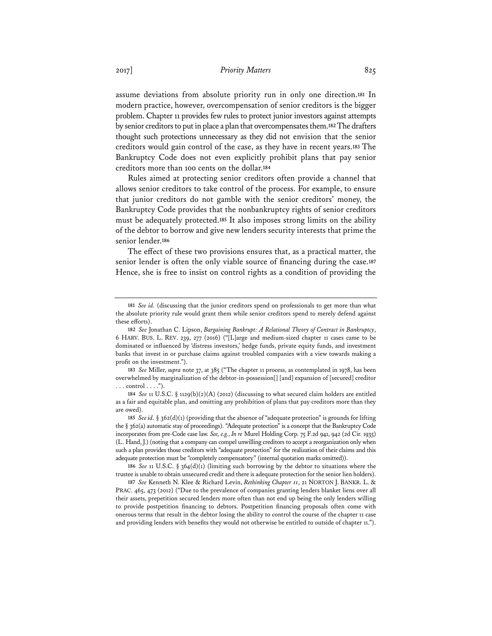assume deviations from absolute priority run in only one direction.**<sup>181</sup>** In modern practice, however, overcompensation of senior creditors is the bigger problem. Chapter 11 provides few rules to protect junior investors against attempts by senior creditors to put in place a plan that overcompensates them.**<sup>182</sup>** The drafters thought such protections unnecessary as they did not envision that the senior creditors would gain control of the case, as they have in recent years.**<sup>183</sup>** The Bankruptcy Code does not even explicitly prohibit plans that pay senior creditors more than 100 cents on the dollar.**<sup>184</sup>**

Rules aimed at protecting senior creditors often provide a channel that allows senior creditors to take control of the process. For example, to ensure that junior creditors do not gamble with the senior creditors' money, the Bankruptcy Code provides that the nonbankruptcy rights of senior creditors must be adequately protected.**<sup>185</sup>** It also imposes strong limits on the ability of the debtor to borrow and give new lenders security interests that prime the senior lender.**<sup>186</sup>**

The effect of these two provisions ensures that, as a practical matter, the senior lender is often the only viable source of financing during the case.**<sup>187</sup>** Hence, she is free to insist on control rights as a condition of providing the

**<sup>181</sup>** *See id.* (discussing that the junior creditors spend on professionals to get more than what the absolute priority rule would grant them while senior creditors spend to merely defend against these efforts).

**<sup>182</sup>** *See* Jonathan C. Lipson, *Bargaining Bankrupt: A Relational Theory of Contract in Bankruptcy*, 6 HARV. BUS. L. REV. 239, 277 (2016) ("[L]arge and medium-sized chapter 11 cases came to be dominated or influenced by 'distress investors,' hedge funds, private equity funds, and investment banks that invest in or purchase claims against troubled companies with a view towards making a profit on the investment.").

**<sup>183</sup>** *See* Miller, *supra* note 37, at 385 ("The chapter 11 process, as contemplated in 1978, has been overwhelmed by marginalization of the debtor-in-possession[] [and] expansion of [secured] creditor  $\ldots$  control  $\ldots$ .").

**<sup>184</sup>** *See* 11 U.S.C. § 1129(b)(2)(A) (2012) (discussing to what secured claim holders are entitled as a fair and equitable plan, and omitting any prohibition of plans that pay creditors more than they are owed).

**<sup>185</sup>** *See id.* § 362(d)(1) (providing that the absence of "adequate protection" is grounds for lifting the § 362(a) automatic stay of proceedings). "Adequate protection" is a concept that the Bankruptcy Code incorporates from pre-Code case law. *See, e.g.*, *In re* Murel Holding Corp. 75 F.2d 941, 942 (2d Cir. 1935) (L. Hand, J.) (noting that a company can compel unwilling creditors to accept a reorganization only when such a plan provides those creditors with "adequate protection" for the realization of their claims and this adequate protection must be "completely compensatory" (internal quotation marks omitted)).

**<sup>186</sup>** *See* 11 U.S.C. § 364(d)(1) (limiting such borrowing by the debtor to situations where the trustee is unable to obtain unsecured credit and there is adequate protection for the senior lien holders).

**<sup>187</sup>** *See* Kenneth N. Klee & Richard Levin, *Rethinking Chapter 11*, 21 NORTON J. BANKR. L. & PRAC. 465, 473 (2012) ("Due to the prevalence of companies granting lenders blanket liens over all their assets, prepetition secured lenders more often than not end up being the only lenders willing to provide postpetition financing to debtors. Postpetition financing proposals often come with onerous terms that result in the debtor losing the ability to control the course of the chapter 11 case and providing lenders with benefits they would not otherwise be entitled to outside of chapter 11.").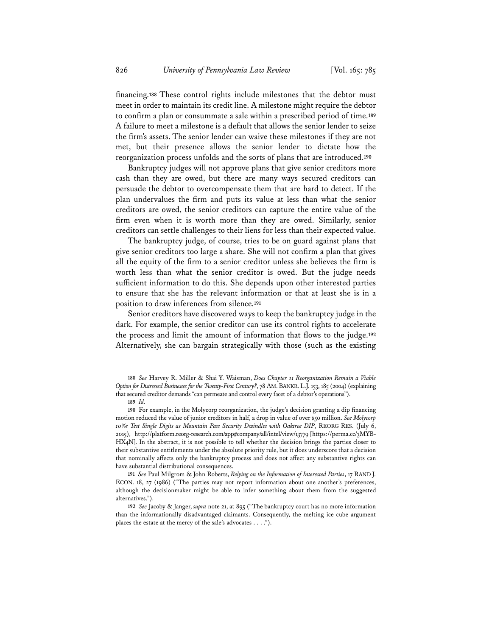financing.**<sup>188</sup>** These control rights include milestones that the debtor must meet in order to maintain its credit line. A milestone might require the debtor to confirm a plan or consummate a sale within a prescribed period of time.**<sup>189</sup>** A failure to meet a milestone is a default that allows the senior lender to seize the firm's assets. The senior lender can waive these milestones if they are not met, but their presence allows the senior lender to dictate how the reorganization process unfolds and the sorts of plans that are introduced.**<sup>190</sup>**

Bankruptcy judges will not approve plans that give senior creditors more cash than they are owed, but there are many ways secured creditors can persuade the debtor to overcompensate them that are hard to detect. If the plan undervalues the firm and puts its value at less than what the senior creditors are owed, the senior creditors can capture the entire value of the firm even when it is worth more than they are owed. Similarly, senior creditors can settle challenges to their liens for less than their expected value.

The bankruptcy judge, of course, tries to be on guard against plans that give senior creditors too large a share. She will not confirm a plan that gives all the equity of the firm to a senior creditor unless she believes the firm is worth less than what the senior creditor is owed. But the judge needs sufficient information to do this. She depends upon other interested parties to ensure that she has the relevant information or that at least she is in a position to draw inferences from silence.**<sup>191</sup>**

Senior creditors have discovered ways to keep the bankruptcy judge in the dark. For example, the senior creditor can use its control rights to accelerate the process and limit the amount of information that flows to the judge.**<sup>192</sup>** Alternatively, she can bargain strategically with those (such as the existing

**191** *See* Paul Milgrom & John Roberts, *Relying on the Information of Interested Parties*, 17 RAND J. ECON. 18, 27 (1986) ("The parties may not report information about one another's preferences, although the decisionmaker might be able to infer something about them from the suggested alternatives.").

**192** *See* Jacoby & Janger, *supra* note 21, at 895 ("The bankruptcy court has no more information than the informationally disadvantaged claimants. Consequently, the melting ice cube argument places the estate at the mercy of the sale's advocates . . . .").

**<sup>188</sup>** *See* Harvey R. Miller & Shai Y. Waisman, *Does Chapter 11 Reorganization Remain a Viable Option for Distressed Businesses for the Twenty-First Century?*, 78 AM. BANKR. L.J. 153, 185 (2004) (explaining that secured creditor demands "can permeate and control every facet of a debtor's operations").

**<sup>189</sup>** *Id.* 

**<sup>190</sup>** For example, in the Molycorp reorganization, the judge's decision granting a dip financing motion reduced the value of junior creditors in half, a drop in value of over \$50 million. *See Molycorp 10%s Test Single Digits as Mountain Pass Security Dwindles with Oaktree DIP*, REORG RES. (July 6, 2015), http://platform.reorg-research.com/app#company/all/intel/view/13779 [https://perma.cc/3MYB-HX4N]. In the abstract, it is not possible to tell whether the decision brings the parties closer to their substantive entitlements under the absolute priority rule, but it does underscore that a decision that nominally affects only the bankruptcy process and does not affect any substantive rights can have substantial distributional consequences.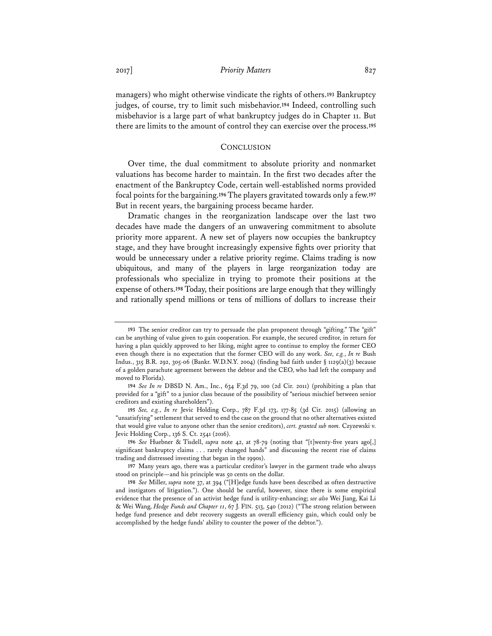managers) who might otherwise vindicate the rights of others.**<sup>193</sup>** Bankruptcy judges, of course, try to limit such misbehavior.**<sup>194</sup>** Indeed, controlling such misbehavior is a large part of what bankruptcy judges do in Chapter 11. But there are limits to the amount of control they can exercise over the process.**<sup>195</sup>**

## **CONCLUSION**

Over time, the dual commitment to absolute priority and nonmarket valuations has become harder to maintain. In the first two decades after the enactment of the Bankruptcy Code, certain well-established norms provided focal points for the bargaining.**<sup>196</sup>** The players gravitated towards only a few.**<sup>197</sup>** But in recent years, the bargaining process became harder.

Dramatic changes in the reorganization landscape over the last two decades have made the dangers of an unwavering commitment to absolute priority more apparent. A new set of players now occupies the bankruptcy stage, and they have brought increasingly expensive fights over priority that would be unnecessary under a relative priority regime. Claims trading is now ubiquitous, and many of the players in large reorganization today are professionals who specialize in trying to promote their positions at the expense of others.**<sup>198</sup>** Today, their positions are large enough that they willingly and rationally spend millions or tens of millions of dollars to increase their

**196** *See* Huebner & Tisdell, *supra* note 42, at 78-79 (noting that "[t]wenty-five years ago[,] significant bankruptcy claims . . . rarely changed hands" and discussing the recent rise of claims trading and distressed investing that began in the 1990s).

**197** Many years ago, there was a particular creditor's lawyer in the garment trade who always stood on principle—and his principle was 50 cents on the dollar.

**<sup>193</sup>** The senior creditor can try to persuade the plan proponent through "gifting." The "gift" can be anything of value given to gain cooperation. For example, the secured creditor, in return for having a plan quickly approved to her liking, might agree to continue to employ the former CEO even though there is no expectation that the former CEO will do any work. *See, e.g.*, *In re* Bush Indus., 315 B.R. 292, 305-06 (Bankr. W.D.N.Y. 2004) (finding bad faith under § 1129(a)(3) because of a golden parachute agreement between the debtor and the CEO, who had left the company and moved to Florida).

**<sup>194</sup>** *See In re* DBSD N. Am., Inc., 634 F.3d 79, 100 (2d Cir. 2011) (prohibiting a plan that provided for a "gift" to a junior class because of the possibility of "serious mischief between senior creditors and existing shareholders").

**<sup>195</sup>** *See, e.g.*, *In re* Jevic Holding Corp., 787 F.3d 173, 177-85 (3d Cir. 2015) (allowing an "unsatisfying" settlement that served to end the case on the ground that no other alternatives existed that would give value to anyone other than the senior creditors), *cert. granted sub nom.* Czyzewski v. Jevic Holding Corp., 136 S. Ct. 2541 (2016).

**<sup>198</sup>** *See* Miller, *supra* note 37, at 394 ("[H]edge funds have been described as often destructive and instigators of litigation."). One should be careful, however, since there is some empirical evidence that the presence of an activist hedge fund is utility-enhancing; *see also* Wei Jiang, Kai Li & Wei Wang, *Hedge Funds and Chapter 11*, 67 J. FIN. 513, 540 (2012) ("The strong relation between hedge fund presence and debt recovery suggests an overall efficiency gain, which could only be accomplished by the hedge funds' ability to counter the power of the debtor.").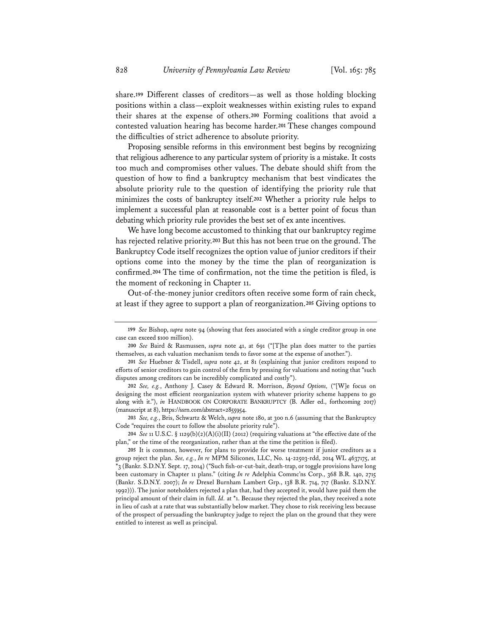share.**<sup>199</sup>** Different classes of creditors—as well as those holding blocking positions within a class—exploit weaknesses within existing rules to expand their shares at the expense of others.**<sup>200</sup>** Forming coalitions that avoid a contested valuation hearing has become harder.**<sup>201</sup>** These changes compound the difficulties of strict adherence to absolute priority.

Proposing sensible reforms in this environment best begins by recognizing that religious adherence to any particular system of priority is a mistake. It costs too much and compromises other values. The debate should shift from the question of how to find a bankruptcy mechanism that best vindicates the absolute priority rule to the question of identifying the priority rule that minimizes the costs of bankruptcy itself.**<sup>202</sup>** Whether a priority rule helps to implement a successful plan at reasonable cost is a better point of focus than debating which priority rule provides the best set of ex ante incentives.

We have long become accustomed to thinking that our bankruptcy regime has rejected relative priority.**<sup>203</sup>** But this has not been true on the ground. The Bankruptcy Code itself recognizes the option value of junior creditors if their options come into the money by the time the plan of reorganization is confirmed.**<sup>204</sup>** The time of confirmation, not the time the petition is filed, is the moment of reckoning in Chapter 11.

Out-of-the-money junior creditors often receive some form of rain check, at least if they agree to support a plan of reorganization.**<sup>205</sup>** Giving options to

**203** *See, e.g.*, Bris, Schwartz & Welch, *supra* note 180, at 300 n.6 (assuming that the Bankruptcy Code "requires the court to follow the absolute priority rule").

**204** *See* 11 U.S.C. § 1129(b)(2)(A)(i)(II) (2012) (requiring valuations at "the effective date of the plan," or the time of the reorganization, rather than at the time the petition is filed).

**<sup>199</sup>** *See* Bishop, *supra* note 94 (showing that fees associated with a single creditor group in one case can exceed \$100 million).

**<sup>200</sup>** *See* Baird & Rasmussen, *supra* note 41, at 691 ("[T]he plan does matter to the parties themselves, as each valuation mechanism tends to favor some at the expense of another.").

**<sup>201</sup>** *See* Huebner & Tisdell, *supra* note 42, at 81 (explaining that junior creditors respond to efforts of senior creditors to gain control of the firm by pressing for valuations and noting that "such disputes among creditors can be incredibly complicated and costly").

**<sup>202</sup>** *See, e.g.*, Anthony J. Casey & Edward R. Morrison, *Beyond Options,* ("[W]e focus on designing the most efficient reorganization system with whatever priority scheme happens to go along with it."), *in* HANDBOOK ON CORPORATE BANKRUPTCY (B. Adler ed., forthcoming 2017) (manuscript at 8), https://ssrn.com/abstract=2855954.

**<sup>205</sup>** It is common, however, for plans to provide for worse treatment if junior creditors as a group reject the plan. *See, e.g.*, *In re* MPM Silicones, LLC, No. 14-22503-rdd, 2014 WL 4637175, at \*3 (Bankr. S.D.N.Y. Sept. 17, 2014) ("Such fish-or-cut-bait, death-trap, or toggle provisions have long been customary in Chapter 11 plans." (citing *In re* Adelphia Commc'ns Corp., 368 B.R. 140, 2715 (Bankr. S.D.N.Y. 2007); *In re* Drexel Burnham Lambert Grp., 138 B.R. 714, 717 (Bankr. S.D.N.Y. 1992))). The junior noteholders rejected a plan that, had they accepted it, would have paid them the principal amount of their claim in full. *Id.* at \*1. Because they rejected the plan, they received a note in lieu of cash at a rate that was substantially below market. They chose to risk receiving less because of the prospect of persuading the bankruptcy judge to reject the plan on the ground that they were entitled to interest as well as principal.